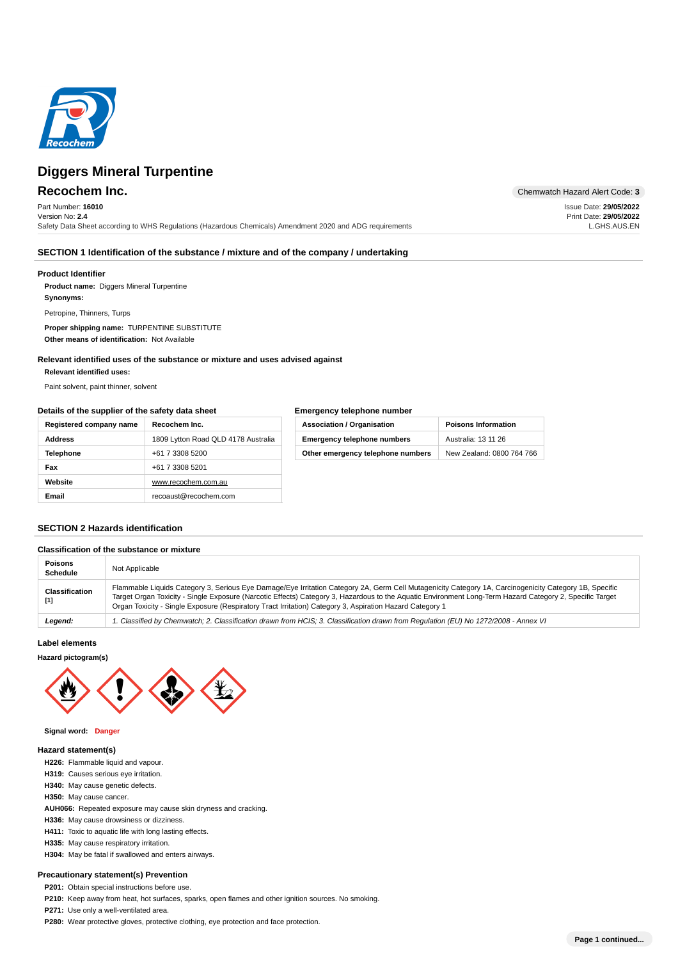

Part Number: **16010** Version No: **2.4** Safety Data Sheet according to WHS Regulations (Hazardous Chemicals) Amendment 2020 and ADG requirements

**Recochem Inc.** Chemwatch Hazard Alert Code: 3

Issue Date: **29/05/2022** Print Date: **29/05/2022** L.GHS.AUS.EN

# **SECTION 1 Identification of the substance / mixture and of the company / undertaking**

# **Product Identifier**

**Product name:** Diggers Mineral Turpentine **: Synonyms**

Petropine, Thinners, Turps

Proper shipping name: TURPENTINE SUBSTITUTE Other means of identification: Not Available

**Relevant identified uses of the substance or mixture and uses advised against**

**: Relevant identified uses**

Paint solvent, paint thinner, solvent

# **Details of the supplier of the safety data sheet**

| Registered company name | Recochem Inc.                       |
|-------------------------|-------------------------------------|
| Address                 | 1809 Lytton Road QLD 4178 Australia |
| <b>Telephone</b>        | +61 7 3308 5200                     |
| Fax                     | +61 7 3308 5201                     |
| Website                 | www.recochem.com.au                 |
| <b>Email</b>            | recoaust@recochem.com               |

| Emergency telephone number         |                            |  |  |  |
|------------------------------------|----------------------------|--|--|--|
| <b>Association / Organisation</b>  | <b>Poisons Information</b> |  |  |  |
| <b>Emergency telephone numbers</b> | Australia: 13 11 26        |  |  |  |
| Other emergency telephone numbers  | New Zealand: 0800 764 766  |  |  |  |

# **SECTION 2 Hazards identification**

**Classification of the substance or mixture**

| Classification of the substance or mixture |                                                                                                                                                                                                                                                                                                                                                                                                                                |  |  |  |  |
|--------------------------------------------|--------------------------------------------------------------------------------------------------------------------------------------------------------------------------------------------------------------------------------------------------------------------------------------------------------------------------------------------------------------------------------------------------------------------------------|--|--|--|--|
| <b>Poisons</b><br><b>Schedule</b>          | Not Applicable                                                                                                                                                                                                                                                                                                                                                                                                                 |  |  |  |  |
| Classification<br>[1]                      | Flammable Liquids Category 3, Serious Eye Damage/Eye Irritation Category 2A, Germ Cell Mutagenicity Category 1A, Carcinogenicity Category 1B, Specific<br>Target Organ Toxicity - Single Exposure (Narcotic Effects) Category 3, Hazardous to the Aquatic Environment Long-Term Hazard Category 2, Specific Target<br>Organ Toxicity - Single Exposure (Respiratory Tract Irritation) Category 3, Aspiration Hazard Category 1 |  |  |  |  |
| Legend:                                    | I. Classified by Chemwatch; 2. Classification drawn from HCIS; 3. Classification drawn from Requlation (EU) No 1272/2008 - Annex VI                                                                                                                                                                                                                                                                                            |  |  |  |  |

# **Label elements**

# **Hazard pictogram(s)**



### **Signal word: Danger**

### **Hazard statement(s)**

- **: H226** Flammable liquid and vapour.
- **: H319** Causes serious eye irritation.
- H340: May cause genetic defects.
- H350: May cause cancer.
- AUH066: Repeated exposure may cause skin dryness and cracking.
- H336: May cause drowsiness or dizziness.
- H411: Toxic to aquatic life with long lasting effects.
- H335: May cause respiratory irritation.
- H304: May be fatal if swallowed and enters airways.

### **Precautionary statement(s) Prevention**

P201: Obtain special instructions before use.

**P210:** Keep away from heat, hot surfaces, sparks, open flames and other ignition sources. No smoking.

- P271: Use only a well-ventilated area.
- **P280:** Wear protective gloves, protective clothing, eye protection and face protection.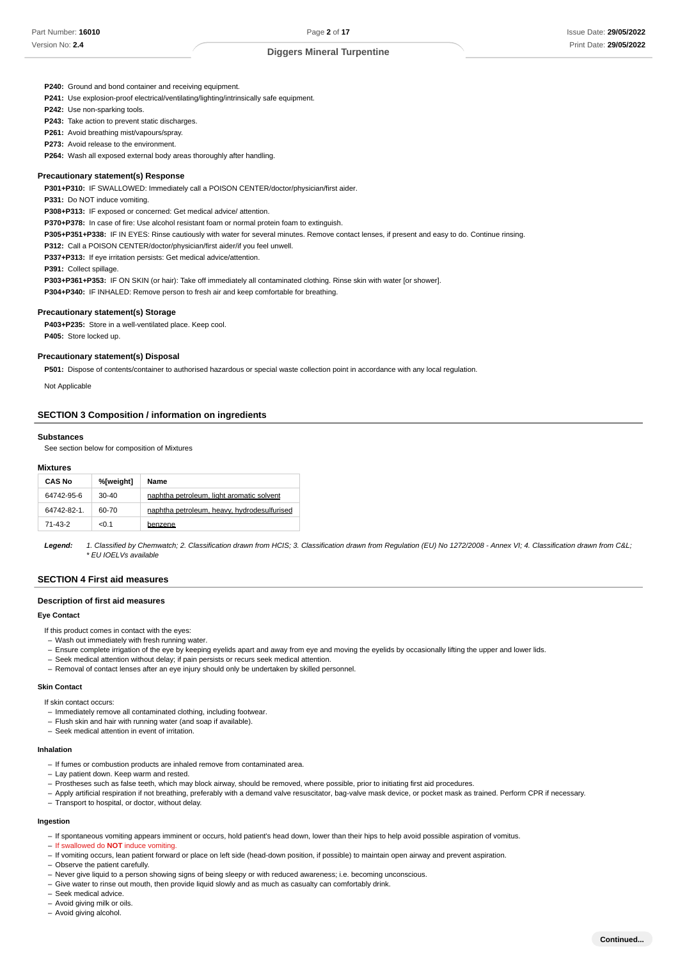P240: Ground and bond container and receiving equipment.

**P241:** Use explosion-proof electrical/ventilating/lighting/intrinsically safe equipment.

**P242:** Use non-sparking tools.

P243: Take action to prevent static discharges.

P261: Avoid breathing mist/vapours/spray.

P273: Avoid release to the environment.

P264: Wash all exposed external body areas thoroughly after handling.

### **Precautionary statement(s) Response**

**: P301+P310** IF SWALLOWED: Immediately call a POISON CENTER/doctor/physician/first aider.

**P331:** Do NOT induce vomiting.

**: P308+P313** IF exposed or concerned: Get medical advice/ attention.

**: P370+P378** In case of fire: Use alcohol resistant foam or normal protein foam to extinguish.

**: P305+P351+P338** IF IN EYES: Rinse cautiously with water for several minutes. Remove contact lenses, if present and easy to do. Continue rinsing.

P312: Call a POISON CENTER/doctor/physician/first aider/if you feel unwell.

P337+P313: If eye irritation persists: Get medical advice/attention.

**: P391** Collect spillage.

**: P303+P361+P353** IF ON SKIN (or hair): Take off immediately all contaminated clothing. Rinse skin with water [or shower].

**: P304+P340** IF INHALED: Remove person to fresh air and keep comfortable for breathing.

### **Precautionary statement(s) Storage**

P403+P235: Store in a well-ventilated place. Keep cool. P405: Store locked up.

### **Precautionary statement(s) Disposal**

P501: Dispose of contents/container to authorised hazardous or special waste collection point in accordance with any local regulation.

Not Applicable

### **SECTION 3 Composition / information on ingredients**

#### **Substances**

See section below for composition of Mixtures

### **Mixtures**

| <b>CAS No</b> | %[weight] | Name                                        |
|---------------|-----------|---------------------------------------------|
| 64742-95-6    | $30-40$   | naphtha petroleum, light aromatic solvent   |
| 64742-82-1.   | 60-70     | naphtha petroleum, heavy, hydrodesulfurised |
| 71-43-2       | < 0.1     | benzene                                     |

**Legend:** 1. Classified by Chemwatch; 2. Classification drawn from HCIS; 3. Classification drawn from Regulation (EU) No 1272/2008 - Annex VI; 4. Classification drawn from C&L; \* EU IOELVs available

# **SECTION 4 First aid measures**

### **Description of first aid measures**

### **Eye Contact**

If this product comes in contact with the eyes:

- Wash out immediately with fresh running water.
- Ensure complete irrigation of the eye by keeping eyelids apart and away from eye and moving the eyelids by occasionally lifting the upper and lower lids. –
- Seek medical attention without delay; if pain persists or recurs seek medical attention. –
- Removal of contact lenses after an eye injury should only be undertaken by skilled personnel. –

#### **Skin Contact**

If skin contact occurs:

- Immediately remove all contaminated clothing, including footwear.
- Flush skin and hair with running water (and soap if available).
- Seek medical attention in event of irritation.

### **Inhalation**

- If fumes or combustion products are inhaled remove from contaminated area.
- Lay patient down. Keep warm and rested.
- Prostheses such as false teeth, which may block airway, should be removed, where possible, prior to initiating first aid procedures.
- Apply artificial respiration if not breathing, preferably with a demand valve resuscitator, bag-valve mask device, or pocket mask as trained. Perform CPR if necessary.
- Transport to hospital, or doctor, without delay.

# **Ingestion**

– If spontaneous vomiting appears imminent or occurs, hold patient's head down, lower than their hips to help avoid possible aspiration of vomitus.

- If swallowed do **NOT** induce vomiting.
- If vomiting occurs, lean patient forward or place on left side (head-down position, if possible) to maintain open airway and prevent aspiration.
- Observe the patient carefully.
- Never give liquid to a person showing signs of being sleepy or with reduced awareness; i.e. becoming unconscious. –
- Give water to rinse out mouth, then provide liquid slowly and as much as casualty can comfortably drink.
- Seek medical advice.
- Avoid giving milk or oils.
- Avoid giving alcohol.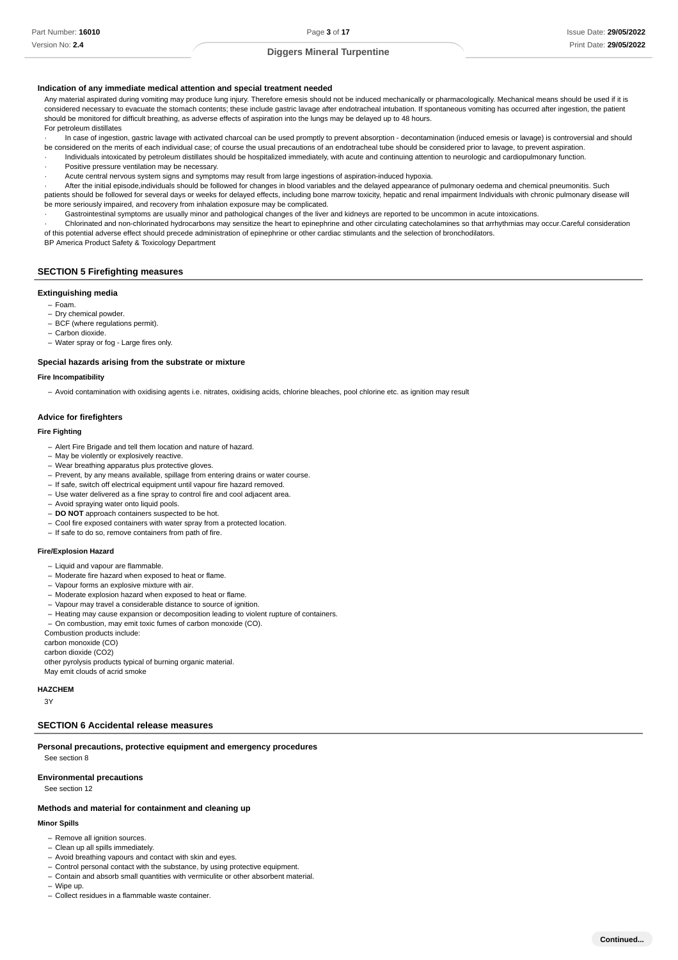### **Indication of any immediate medical attention and special treatment needed**

Any material aspirated during vomiting may produce lung injury. Therefore emesis should not be induced mechanically or pharmacologically. Mechanical means should be used if it is considered necessary to evacuate the stomach contents; these include gastric lavage after endotracheal intubation. If spontaneous vomiting has occurred after ingestion, the patient should be monitored for difficult breathing, as adverse effects of aspiration into the lungs may be delayed up to 48 hours. For petroleum distillates

In case of ingestion, gastric lavage with activated charcoal can be used promptly to prevent absorption - decontamination (induced emesis or lavage) is controversial and should be considered on the merits of each individual case; of course the usual precautions of an endotracheal tube should be considered prior to lavage, to prevent aspiration.

· Individuals intoxicated by petroleum distillates should be hospitalized immediately, with acute and continuing attention to neurologic and cardiopulmonary function.

- Positive pressure ventilation may be necessary.
- · Acute central nervous system signs and symptoms may result from large ingestions of aspiration-induced hypoxia.

· After the initial episode,individuals should be followed for changes in blood variables and the delayed appearance of pulmonary oedema and chemical pneumonitis. Such patients should be followed for several days or weeks for delayed effects, including bone marrow toxicity, hepatic and renal impairment Individuals with chronic pulmonary disease will be more seriously impaired, and recovery from inhalation exposure may be complicated.

· Gastrointestinal symptoms are usually minor and pathological changes of the liver and kidneys are reported to be uncommon in acute intoxications.

· Chlorinated and non-chlorinated hydrocarbons may sensitize the heart to epinephrine and other circulating catecholamines so that arrhythmias may occur.Careful consideration of this potential adverse effect should precede administration of epinephrine or other cardiac stimulants and the selection of bronchodilators.

BP America Product Safety & Toxicology Department

# **SECTION 5 Firefighting measures**

# **Extinguishing media**

- Foam.
- Dry chemical powder.
- BCF (where regulations permit).
- Carbon dioxide. –
- Water spray or fog Large fires only. –

#### **Special hazards arising from the substrate or mixture**

# **Fire Incompatibility**

– Avoid contamination with oxidising agents i.e. nitrates, oxidising acids, chlorine bleaches, pool chlorine etc. as ignition may result

### **Advice for firefighters**

### **Fire Fighting**

- Alert Fire Brigade and tell them location and nature of hazard.
- May be violently or explosively reactive.
- Wear breathing apparatus plus protective gloves. –
- Prevent, by any means available, spillage from entering drains or water course.
- If safe, switch off electrical equipment until vapour fire hazard removed.
- Use water delivered as a fine spray to control fire and cool adjacent area.
- Avoid spraying water onto liquid pools.
- **DO NOT** approach containers suspected to be hot.
- Cool fire exposed containers with water spray from a protected location.
- If safe to do so, remove containers from path of fire.

### **Fire/Explosion Hazard**

- Liquid and vapour are flammable.
- Moderate fire hazard when exposed to heat or flame.
- Vapour forms an explosive mixture with air.
- Moderate explosion hazard when exposed to heat or flame.
- Vapour may travel a considerable distance to source of ignition.
- Heating may cause expansion or decomposition leading to violent rupture of containers.
- On combustion, may emit toxic fumes of carbon monoxide (CO). –

Combustion products include:

carbon monoxide (CO)

carbon dioxide (CO2)

other pyrolysis products typical of burning organic material. May emit clouds of acrid smoke

### **HAZCHEM**

3Y

# **SECTION 6 Accidental release measures**

**Personal precautions, protective equipment and emergency procedures** See section 8

# **Environmental precautions**

See section 12

### **Methods and material for containment and cleaning up**

# **Minor Spills**

- Remove all ignition sources.
- Clean up all spills immediately.
- Avoid breathing vapours and contact with skin and eyes.
- Control personal contact with the substance, by using protective equipment.
- Contain and absorb small quantities with vermiculite or other absorbent material.
- Wipe up. –
- Collect residues in a flammable waste container.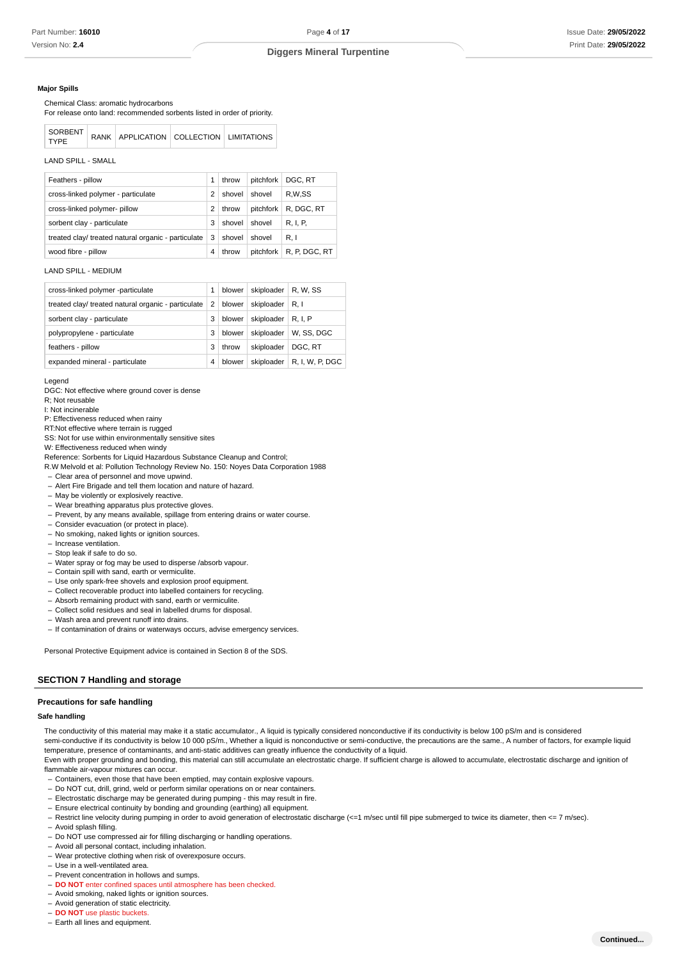### **Major Spills**

Chemical Class: aromatic hydrocarbons

For release onto land: recommended sorbents listed in order of priority.

| SORBENT<br><b>TYPE</b> |  | RANK   APPLICATION   COLLECTION   LIMITATIONS |  |  |  |
|------------------------|--|-----------------------------------------------|--|--|--|
|------------------------|--|-----------------------------------------------|--|--|--|

LAND SPILL - SMALL

| Feathers - pillow                                   |   | throw  | pitchfork | DGC, RT       |
|-----------------------------------------------------|---|--------|-----------|---------------|
| cross-linked polymer - particulate                  | 2 | shovel | shovel    | R,W,SS        |
| cross-linked polymer- pillow                        | 2 | throw  | pitchfork | R. DGC. RT    |
| sorbent clay - particulate                          | 3 | shovel | shovel    | R. I. P.      |
| treated clay/ treated natural organic - particulate | 3 | shovel | shovel    | R.1           |
| wood fibre - pillow                                 | 4 | throw  | pitchfork | R, P, DGC, RT |

### LAND SPILL - MEDIUM

| cross-linked polymer -particulate                   | 1 | blower | skiploader | R. W. SS        |
|-----------------------------------------------------|---|--------|------------|-----------------|
| treated clay/ treated natural organic - particulate | 2 | blower | skiploader | R.1             |
| sorbent clay - particulate                          | 3 | blower | skiploader | <b>R.I.P</b>    |
| polypropylene - particulate                         | 3 | blower | skiploader | W. SS. DGC      |
| feathers - pillow                                   | 3 | throw  | skiploader | DGC, RT         |
| expanded mineral - particulate                      | 4 | blower | skiploader | R, I, W, P, DGC |

Legend

DGC: Not effective where ground cover is dense

R; Not reusable

I: Not incinerable

P: Effectiveness reduced when rainy

RT:Not effective where terrain is rugged

SS: Not for use within environmentally sensitive sites

W: Effectiveness reduced when windy

Reference: Sorbents for Liquid Hazardous Substance Cleanup and Control; R.W Melvold et al: Pollution Technology Review No. 150: Noyes Data Corporation 1988

Clear area of personnel and move upwind. – - Alert Fire Brigade and tell them location and nature of hazard.

- May be violently or explosively reactive.
- Wear breathing apparatus plus protective gloves. –

- Prevent, by any means available, spillage from entering drains or water course.

- Consider evacuation (or protect in place).
- No smoking, naked lights or ignition sources.
- Increase ventilation.
- Stop leak if safe to do so.
- Water spray or fog may be used to disperse /absorb vapour.
- Contain spill with sand, earth or vermiculite.
- Use only spark-free shovels and explosion proof equipment.
- Collect recoverable product into labelled containers for recycling.
- Absorb remaining product with sand, earth or vermiculite.
- Collect solid residues and seal in labelled drums for disposal.
- Wash area and prevent runoff into drains. –
- If contamination of drains or waterways occurs, advise emergency services.

Personal Protective Equipment advice is contained in Section 8 of the SDS.

# **SECTION 7 Handling and storage**

### **Precautions for safe handling**

# **Safe handling**

The conductivity of this material may make it a static accumulator., A liquid is typically considered nonconductive if its conductivity is below 100 pS/m and is considered

semi-conductive if its conductivity is below 10 000 pS/m., Whether a liquid is nonconductive or semi-conductive, the precautions are the same., A number of factors, for example liquid temperature, presence of contaminants, and anti-static additives can greatly influence the conductivity of a liquid.

Even with proper grounding and bonding, this material can still accumulate an electrostatic charge. If sufficient charge is allowed to accumulate, electrostatic discharge and ignition of flammable air-vapour mixtures can occur.

- Containers, even those that have been emptied, may contain explosive vapours.
- Do NOT cut, drill, grind, weld or perform similar operations on or near containers.
- Electrostatic discharge may be generated during pumping this may result in fire.
- Ensure electrical continuity by bonding and grounding (earthing) all equipment.

- Restrict line velocity during pumping in order to avoid generation of electrostatic discharge (<=1 m/sec until fill pipe submerged to twice its diameter, then <= 7 m/sec).

- Avoid splash filling.
- Do NOT use compressed air for filling discharging or handling operations.
- Avoid all personal contact, including inhalation.
- Wear protective clothing when risk of overexposure occurs.
- Use in a well-ventilated area.
- Prevent concentration in hollows and sumps.
- **DO NOT** enter confined spaces until atmosphere has been checked.
- Avoid smoking, naked lights or ignition sources.
- Avoid generation of static electricity.
- **DO NOT** use plastic buckets.
- Earth all lines and equipment.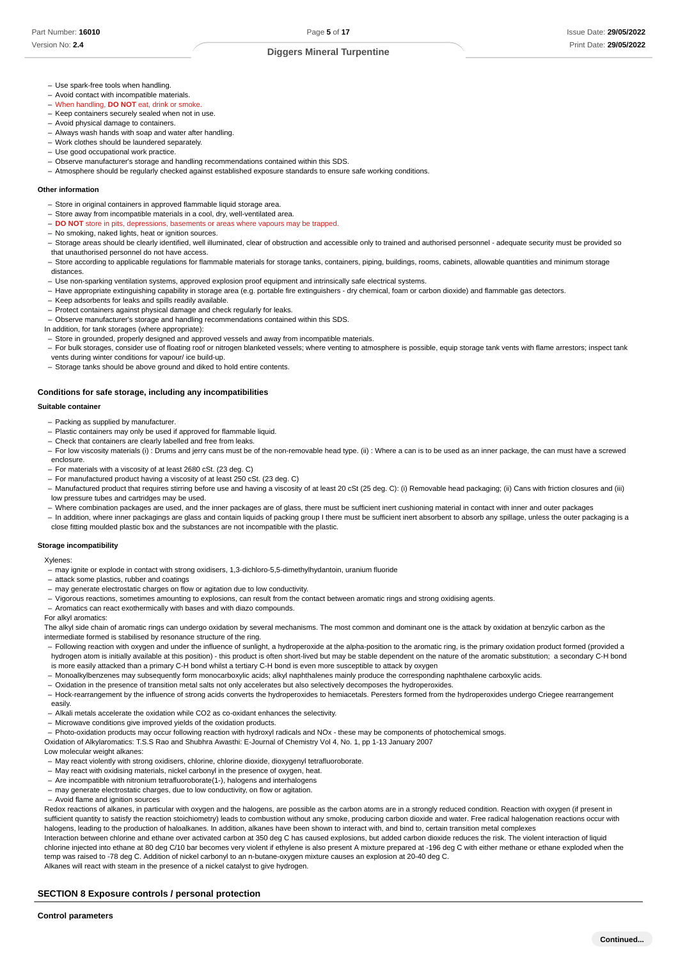- Use spark-free tools when handling.
- Avoid contact with incompatible materials.
- When handling, **DO NOT** eat, drink or smoke. –
- Keep containers securely sealed when not in use. - Avoid physical damage to containers.
- Always wash hands with soap and water after handling.
- Work clothes should be laundered separately. –
- Use good occupational work practice.
- Observe manufacturer's storage and handling recommendations contained within this SDS.
- Atmosphere should be regularly checked against established exposure standards to ensure safe working conditions.

# **Other information**

- Store in original containers in approved flammable liquid storage area.
- Store away from incompatible materials in a cool, dry, well-ventilated area.
- **DO NOT** store in pits, depressions, basements or areas where vapours may be trapped.
- No smoking, naked lights, heat or ignition sources.
- Storage areas should be clearly identified, well illuminated, clear of obstruction and accessible only to trained and authorised personnel adequate security must be provided so that unauthorised personnel do not have access.
- Store according to applicable regulations for flammable materials for storage tanks, containers, piping, buildings, rooms, cabinets, allowable quantities and minimum storage distances.
- Use non-sparking ventilation systems, approved explosion proof equipment and intrinsically safe electrical systems. –
- Have appropriate extinguishing capability in storage area (e.g. portable fire extinguishers dry chemical, foam or carbon dioxide) and flammable gas detectors.
- Keep adsorbents for leaks and spills readily available.
- Protect containers against physical damage and check regularly for leaks.
- Observe manufacturer's storage and handling recommendations contained within this SDS.
- In addition, for tank storages (where appropriate):
- Store in grounded, properly designed and approved vessels and away from incompatible materials. –
- For bulk storages, consider use of floating roof or nitrogen blanketed vessels; where venting to atmosphere is possible, equip storage tank vents with flame arrestors; inspect tank vents during winter conditions for vapour/ ice build-up.
- Storage tanks should be above ground and diked to hold entire contents.

# **Conditions for safe storage, including any incompatibilities**

# **Suitable container**

- Packing as supplied by manufacturer.
- Plastic containers may only be used if approved for flammable liquid.
- Check that containers are clearly labelled and free from leaks. –
- For low viscosity materials (i) : Drums and jerry cans must be of the non-removable head type. (ii) : Where a can is to be used as an inner package, the can must have a screwed enclosure.
- For materials with a viscosity of at least 2680 cSt. (23 deg. C)
- For manufactured product having a viscosity of at least 250 cSt. (23 deg. C)
- Manufactured product that requires stirring before use and having a viscosity of at least 20 cSt (25 deg. C): (i) Removable head packaging; (ii) Cans with friction closures and (iii) low pressure tubes and cartridges may be used.
- Where combination packages are used, and the inner packages are of glass, there must be sufficient inert cushioning material in contact with inner and outer packages –
- In addition, where inner packagings are glass and contain liquids of packing group I there must be sufficient inert absorbent to absorb any spillage, unless the outer packaging is a close fitting moulded plastic box and the substances are not incompatible with the plastic.

#### **Storage incompatibility**

Xylenes:

- may ignite or explode in contact with strong oxidisers, 1,3-dichloro-5,5-dimethylhydantoin, uranium fluoride
- attack some plastics, rubber and coatings
- may generate electrostatic charges on flow or agitation due to low conductivity.
- Vigorous reactions, sometimes amounting to explosions, can result from the contact between aromatic rings and strong oxidising agents.
- Aromatics can react exothermically with bases and with diazo compounds.

For alkyl aromatics:

The alkyl side chain of aromatic rings can undergo oxidation by several mechanisms. The most common and dominant one is the attack by oxidation at benzylic carbon as the intermediate formed is stabilised by resonance structure of the ring.

- Following reaction with oxygen and under the influence of sunlight, a hydroperoxide at the alpha-position to the aromatic ring, is the primary oxidation product formed (provided a hydrogen atom is initially available at this position) - this product is often short-lived but may be stable dependent on the nature of the aromatic substitution; a secondary C-H bond is more easily attacked than a primary C-H bond whilst a tertiary C-H bond is even more susceptible to attack by oxygen
- Monoalkylbenzenes may subsequently form monocarboxylic acids; alkyl naphthalenes mainly produce the corresponding naphthalene carboxylic acids.
- Oxidation in the presence of transition metal salts not only accelerates but also selectively decomposes the hydroperoxides. –
- Hock-rearrangement by the influence of strong acids converts the hydroperoxides to hemiacetals. Peresters formed from the hydroperoxides undergo Criegee rearrangement easily.
- Alkali metals accelerate the oxidation while CO2 as co-oxidant enhances the selectivity. –
- Microwave conditions give improved yields of the oxidation products.
- Photo-oxidation products may occur following reaction with hydroxyl radicals and NOx these may be components of photochemical smogs.

Oxidation of Alkylaromatics: T.S.S Rao and Shubhra Awasthi: E-Journal of Chemistry Vol 4, No. 1, pp 1-13 January 2007

- Low molecular weight alkanes: - May react violently with strong oxidisers, chlorine, chlorine dioxide, dioxygenyl tetrafluoroborate.
- May react with oxidising materials, nickel carbonyl in the presence of oxygen, heat.
- Are incompatible with nitronium tetrafluoroborate(1-), halogens and interhalogens
- may generate electrostatic charges, due to low conductivity, on flow or agitation.
- Avoid flame and ignition sources

Redox reactions of alkanes, in particular with oxygen and the halogens, are possible as the carbon atoms are in a strongly reduced condition. Reaction with oxygen (if present in sufficient quantity to satisfy the reaction stoichiometry) leads to combustion without any smoke, producing carbon dioxide and water. Free radical halogenation reactions occur with halogens, leading to the production of haloalkanes. In addition, alkanes have been shown to interact with, and bind to, certain transition metal complexes

Interaction between chlorine and ethane over activated carbon at 350 deg C has caused explosions, but added carbon dioxide reduces the risk. The violent interaction of liquid chlorine injected into ethane at 80 deg C/10 bar becomes very violent if ethylene is also present A mixture prepared at -196 deg C with either methane or ethane exploded when the temp was raised to -78 deg C. Addition of nickel carbonyl to an n-butane-oxygen mixture causes an explosion at 20-40 deg C.

Alkanes will react with steam in the presence of a nickel catalyst to give hydrogen.

# **SECTION 8 Exposure controls / personal protection**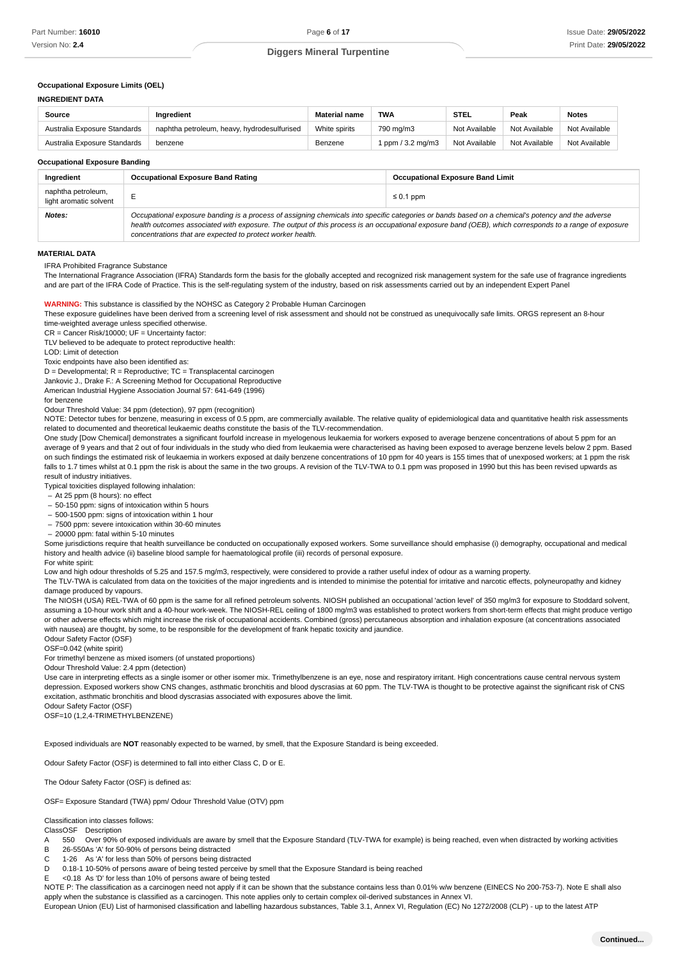**INGREDIENT DATA**

# **Diggers Mineral Turpentine**

# **Occupational Exposure Limits (OEL)**

| Source                       | Inaredient                                  | <b>Material name</b> | <b>TWA</b>        | <b>STEL</b>   | Peak          | <b>Notes</b>  |
|------------------------------|---------------------------------------------|----------------------|-------------------|---------------|---------------|---------------|
| Australia Exposure Standards | naphtha petroleum, heavy, hydrodesulfurised | White spirits        | 790 mg/m3         | Not Available | Not Available | Not Available |
| Australia Exposure Standards | benzene                                     | Benzene              | 1 ppm / 3.2 mg/m3 | Not Available | Not Available | Not Available |

**Occupational Exposure Banding**

| Ingredient                                   | <b>Occupational Exposure Band Rating</b>                                                                                                                                                                                                                                                                                                                                 | <b>Occupational Exposure Band Limit</b> |  |
|----------------------------------------------|--------------------------------------------------------------------------------------------------------------------------------------------------------------------------------------------------------------------------------------------------------------------------------------------------------------------------------------------------------------------------|-----------------------------------------|--|
| naphtha petroleum,<br>light aromatic solvent |                                                                                                                                                                                                                                                                                                                                                                          | $\leq 0.1$ ppm                          |  |
| <b>Notes:</b>                                | Occupational exposure banding is a process of assigning chemicals into specific categories or bands based on a chemical's potency and the adverse<br>health outcomes associated with exposure. The output of this process is an occupational exposure band (OEB), which corresponds to a range of exposure<br>concentrations that are expected to protect worker health. |                                         |  |

### **MATERIAL DATA**

IFRA Prohibited Fragrance Substance

The International Fragrance Association (IFRA) Standards form the basis for the globally accepted and recognized risk management system for the safe use of fragrance ingredients and are part of the IFRA Code of Practice. This is the self-regulating system of the industry, based on risk assessments carried out by an independent Expert Panel

# **WARNING:** This substance is classified by the NOHSC as Category 2 Probable Human Carcinogen

These exposure guidelines have been derived from a screening level of risk assessment and should not be construed as unequivocally safe limits. ORGS represent an 8-hour time-weighted average unless specified otherwise.

CR = Cancer Risk/10000; UF = Uncertainty factor:

TLV believed to be adequate to protect reproductive health:

LOD: Limit of detection

Toxic endpoints have also been identified as:

 $D = Developmental; R = Reproductive; TC = Transplacemental carcinogen$ 

Jankovic J., Drake F.: A Screening Method for Occupational Reproductive

American Industrial Hygiene Association Journal 57: 641-649 (1996)

for benzene

Odour Threshold Value: 34 ppm (detection), 97 ppm (recognition)

NOTE: Detector tubes for benzene, measuring in excess of 0.5 ppm, are commercially available. The relative quality of epidemiological data and quantitative health risk assessments related to documented and theoretical leukaemic deaths constitute the basis of the TLV-recommendation.

One study [Dow Chemical] demonstrates a significant fourfold increase in myelogenous leukaemia for workers exposed to average benzene concentrations of about 5 ppm for an average of 9 years and that 2 out of four individuals in the study who died from leukaemia were characterised as having been exposed to average benzene levels below 2 ppm. Based on such findings the estimated risk of leukaemia in workers exposed at daily benzene concentrations of 10 ppm for 40 years is 155 times that of unexposed workers; at 1 ppm the risk falls to 1.7 times whilst at 0.1 ppm the risk is about the same in the two groups. A revision of the TLV-TWA to 0.1 ppm was proposed in 1990 but this has been revised upwards as result of industry initiatives.

Typical toxicities displayed following inhalation:

- At 25 ppm (8 hours): no effect
- 50-150 ppm: signs of intoxication within 5 hours –
- 500-1500 ppm: signs of intoxication within 1 hour –
- 7500 ppm: severe intoxication within 30-60 minutes –
- 20000 ppm: fatal within 5-10 minutes

Some jurisdictions require that health surveillance be conducted on occupationally exposed workers. Some surveillance should emphasise (i) demography, occupational and medical history and health advice (ii) baseline blood sample for haematological profile (iii) records of personal exposure.

#### For white spirit:

Low and high odour thresholds of 5.25 and 157.5 mg/m3, respectively, were considered to provide a rather useful index of odour as a warning property.

The TLV-TWA is calculated from data on the toxicities of the major ingredients and is intended to minimise the potential for irritative and narcotic effects, polyneuropathy and kidney damage produced by vapours.

The NIOSH (USA) REL-TWA of 60 ppm is the same for all refined petroleum solvents. NIOSH published an occupational 'action level' of 350 mg/m3 for exposure to Stoddard solvent, assuming a 10-hour work shift and a 40-hour work-week. The NIOSH-REL ceiling of 1800 mg/m3 was established to protect workers from short-term effects that might produce vertigo or other adverse effects which might increase the risk of occupational accidents. Combined (gross) percutaneous absorption and inhalation exposure (at concentrations associated with nausea) are thought, by some, to be responsible for the development of frank hepatic toxicity and jaundice.

Odour Safety Factor (OSF)

OSF=0.042 (white spirit)

For trimethyl benzene as mixed isomers (of unstated proportions)

Odour Threshold Value: 2.4 ppm (detection)

Use care in interpreting effects as a single isomer or other isomer mix. Trimethylbenzene is an eye, nose and respiratory irritant. High concentrations cause central nervous system depression. Exposed workers show CNS changes, asthmatic bronchitis and blood dyscrasias at 60 ppm. The TLV-TWA is thought to be protective against the significant risk of CNS excitation, asthmatic bronchitis and blood dyscrasias associated with exposures above the limit.

Odour Safety Factor (OSF) OSF=10 (1,2,4-TRIMETHYLBENZENE)

Exposed individuals are **NOT** reasonably expected to be warned, by smell, that the Exposure Standard is being exceeded.

Odour Safety Factor (OSF) is determined to fall into either Class C, D or E.

The Odour Safety Factor (OSF) is defined as:

OSF= Exposure Standard (TWA) ppm/ Odour Threshold Value (OTV) ppm

Classification into classes follows:

ClassOSF Description

- A 550 Over 90% of exposed individuals are aware by smell that the Exposure Standard (TLV-TWA for example) is being reached, even when distracted by working activities
- B 26-550As 'A' for 50-90% of persons being distracted
- C 1-26 As 'A' for less than 50% of persons being distracted
- D 0.18-1 10-50% of persons aware of being tested perceive by smell that the Exposure Standard is being reached
- E <0.18 As 'D' for less than 10% of persons aware of being tested

NOTE P: The classification as a carcinogen need not apply if it can be shown that the substance contains less than 0.01% w/w benzene (EINECS No 200-753-7). Note E shall also apply when the substance is classified as a carcinogen. This note applies only to certain complex oil-derived substances in Annex VI.

European Union (EU) List of harmonised classification and labelling hazardous substances, Table 3.1, Annex VI, Regulation (EC) No 1272/2008 (CLP) - up to the latest ATP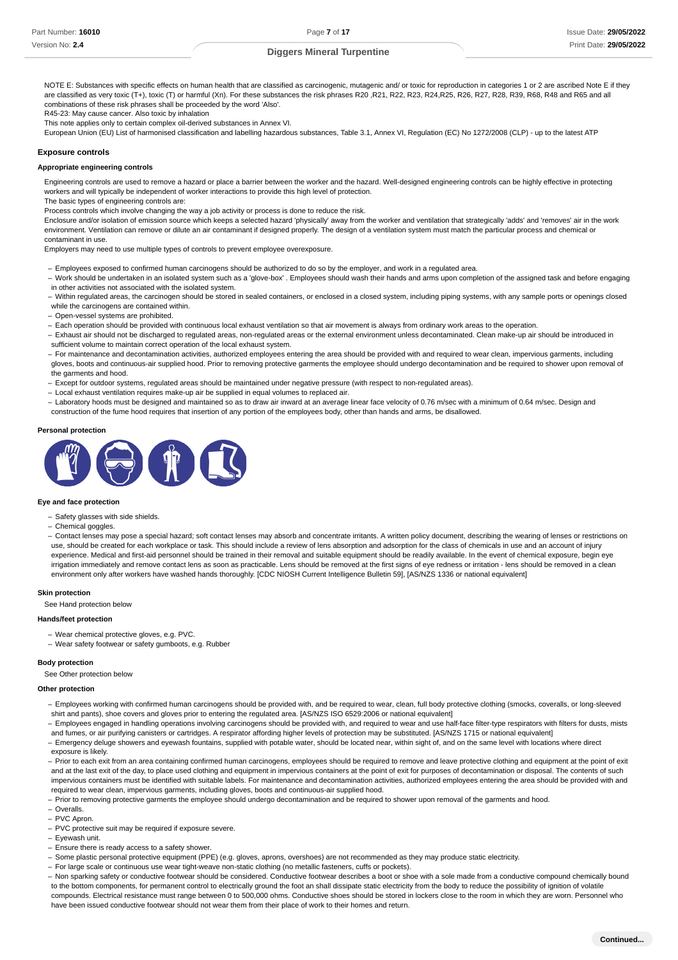NOTE E: Substances with specific effects on human health that are classified as carcinogenic, mutagenic and/ or toxic for reproduction in categories 1 or 2 are ascribed Note E if they are classified as very toxic (T+), toxic (T) or harmful (Xn). For these substances the risk phrases R20, R21, R22, R23, R24,R25, R26, R27, R28, R39, R68, R48 and R65 and all combinations of these risk phrases shall be proceeded by the word 'Also'.

R45-23: May cause cancer. Also toxic by inhalation

This note applies only to certain complex oil-derived substances in Annex VI.

European Union (EU) List of harmonised classification and labelling hazardous substances, Table 3.1, Annex VI, Regulation (EC) No 1272/2008 (CLP) - up to the latest ATP

### **Exposure controls**

### **Appropriate engineering controls**

Engineering controls are used to remove a hazard or place a barrier between the worker and the hazard. Well-designed engineering controls can be highly effective in protecting workers and will typically be independent of worker interactions to provide this high level of protection.

The basic types of engineering controls are:

Process controls which involve changing the way a job activity or process is done to reduce the risk.

Enclosure and/or isolation of emission source which keeps a selected hazard 'physically' away from the worker and ventilation that strategically 'adds' and 'removes' air in the work environment. Ventilation can remove or dilute an air contaminant if designed properly. The design of a ventilation system must match the particular process and chemical or contaminant in use.

Employers may need to use multiple types of controls to prevent employee overexposure.

- Employees exposed to confirmed human carcinogens should be authorized to do so by the employer, and work in a regulated area.
- Work should be undertaken in an isolated system such as a 'glove-box' . Employees should wash their hands and arms upon completion of the assigned task and before engaging in other activities not associated with the isolated system.
- Within regulated areas, the carcinogen should be stored in sealed containers, or enclosed in a closed system, including piping systems, with any sample ports or openings closed while the carcinogens are contained within.
- Open-vessel systems are prohibited. –
- Each operation should be provided with continuous local exhaust ventilation so that air movement is always from ordinary work areas to the operation.
- Exhaust air should not be discharged to regulated areas, non-regulated areas or the external environment unless decontaminated. Clean make-up air should be introduced in sufficient volume to maintain correct operation of the local exhaust system.
- For maintenance and decontamination activities, authorized employees entering the area should be provided with and required to wear clean, impervious garments, including gloves, boots and continuous-air supplied hood. Prior to removing protective garments the employee should undergo decontamination and be required to shower upon removal of the garments and hood.
- Except for outdoor systems, regulated areas should be maintained under negative pressure (with respect to non-regulated areas).
- Local exhaust ventilation requires make-up air be supplied in equal volumes to replaced air.
- Laboratory hoods must be designed and maintained so as to draw air inward at an average linear face velocity of 0.76 m/sec with a minimum of 0.64 m/sec. Design and construction of the fume hood requires that insertion of any portion of the employees body, other than hands and arms, be disallowed.

#### **Personal protection**



### **Eye and face protection**

- Safety glasses with side shields.
- Chemical goggles. –
- Contact lenses may pose a special hazard; soft contact lenses may absorb and concentrate irritants. A written policy document, describing the wearing of lenses or restrictions on use, should be created for each workplace or task. This should include a review of lens absorption and adsorption for the class of chemicals in use and an account of injury experience. Medical and first-aid personnel should be trained in their removal and suitable equipment should be readily available. In the event of chemical exposure, begin eye irrigation immediately and remove contact lens as soon as practicable. Lens should be removed at the first signs of eye redness or irritation - lens should be removed in a clean environment only after workers have washed hands thoroughly. [CDC NIOSH Current Intelligence Bulletin 59], [AS/NZS 1336 or national equivalent]

### **Skin protection**

See Hand protection below

### **Hands/feet protection**

- Wear chemical protective gloves, e.g. PVC.

Wear safety footwear or safety gumboots, e.g. Rubber –

#### **Body protection**

See Other protection below

**Other protection**

- Employees working with confirmed human carcinogens should be provided with, and be required to wear, clean, full body protective clothing (smocks, coveralls, or long-sleeved shirt and pants), shoe covers and gloves prior to entering the regulated area. [AS/NZS ISO 6529:2006 or national equivalent]
- Employees engaged in handling operations involving carcinogens should be provided with, and required to wear and use half-face filter-type respirators with filters for dusts, mists and fumes, or air purifying canisters or cartridges. A respirator affording higher levels of protection may be substituted. [AS/NZS 1715 or national equivalent]
- Emergency deluge showers and eyewash fountains, supplied with potable water, should be located near, within sight of, and on the same level with locations where direct exposure is likely.
- Prior to each exit from an area containing confirmed human carcinogens, employees should be required to remove and leave protective clothing and equipment at the point of exit and at the last exit of the day, to place used clothing and equipment in impervious containers at the point of exit for purposes of decontamination or disposal. The contents of such impervious containers must be identified with suitable labels. For maintenance and decontamination activities, authorized employees entering the area should be provided with and required to wear clean, impervious garments, including gloves, boots and continuous-air supplied hood.
- Prior to removing protective garments the employee should undergo decontamination and be required to shower upon removal of the garments and hood.
- Overalls. –
- PVC Apron. –
- PVC protective suit may be required if exposure severe.
- Eyewash unit.
- Ensure there is ready access to a safety shower.
- Some plastic personal protective equipment (PPE) (e.g. gloves, aprons, overshoes) are not recommended as they may produce static electricity.
- For large scale or continuous use wear tight-weave non-static clothing (no metallic fasteners, cuffs or pockets).
- Non sparking safety or conductive footwear should be considered. Conductive footwear describes a boot or shoe with a sole made from a conductive compound chemically bound to the bottom components, for permanent control to electrically ground the foot an shall dissipate static electricity from the body to reduce the possibility of ignition of volatile compounds. Electrical resistance must range between 0 to 500,000 ohms. Conductive shoes should be stored in lockers close to the room in which they are worn. Personnel who have been issued conductive footwear should not wear them from their place of work to their homes and return.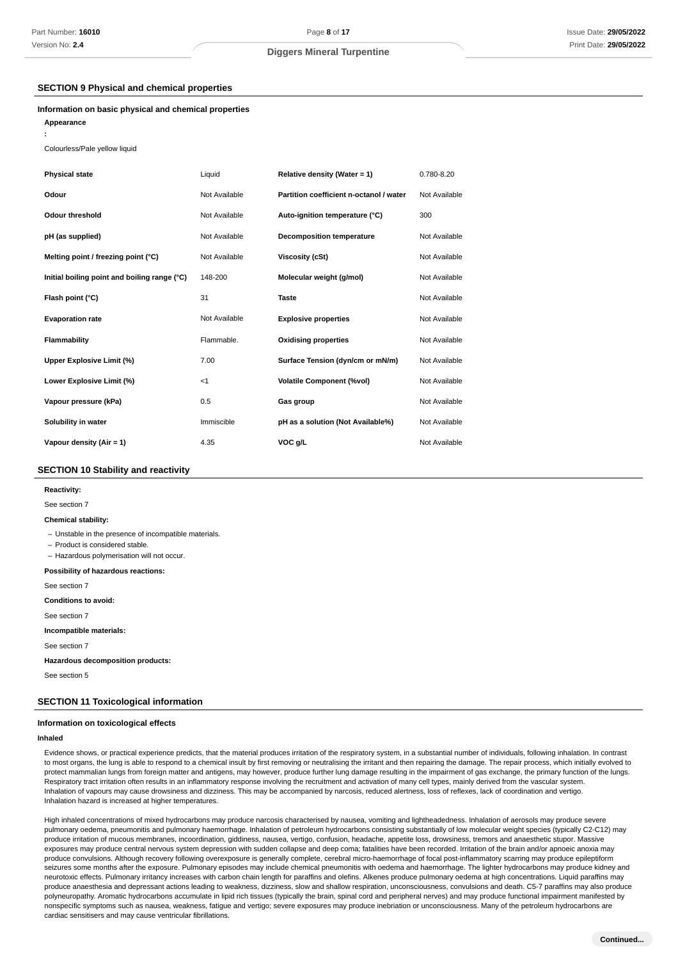# **SECTION 9 Physical and chemical properties**

### **Information on basic physical and chemical properties**

**Appearance**

**:**

Colourless/Pale yellow liquid

| <b>Physical state</b>                        | Liquid        | Relative density (Water = 1)            | 0.780-8.20    |
|----------------------------------------------|---------------|-----------------------------------------|---------------|
| Odour                                        | Not Available | Partition coefficient n-octanol / water | Not Available |
| Odour threshold                              | Not Available | Auto-ignition temperature (°C)          | 300           |
| pH (as supplied)                             | Not Available | <b>Decomposition temperature</b>        | Not Available |
| Melting point / freezing point (°C)          | Not Available | <b>Viscosity (cSt)</b>                  | Not Available |
| Initial boiling point and boiling range (°C) | 148-200       | Molecular weight (g/mol)                | Not Available |
| Flash point (°C)                             | 31            | <b>Taste</b>                            | Not Available |
| <b>Evaporation rate</b>                      | Not Available | <b>Explosive properties</b>             | Not Available |
| Flammability                                 | Flammable.    | <b>Oxidising properties</b>             | Not Available |
| Upper Explosive Limit (%)                    | 7.00          | Surface Tension (dyn/cm or mN/m)        | Not Available |
| Lower Explosive Limit (%)                    | $<$ 1         | <b>Volatile Component (%vol)</b>        | Not Available |
| Vapour pressure (kPa)                        | 0.5           | Gas group                               | Not Available |
| Solubility in water                          | Immiscible    | pH as a solution (Not Available%)       | Not Available |
| Vapour density (Air = 1)                     | 4.35          | VOC g/L                                 | Not Available |

# **SECTION 10 Stability and reactivity**

#### **: Reactivity**

See section 7

#### **: Chemical stability**

- Unstable in the presence of incompatible materials.

- Product is considered stable.

- Hazardous polymerisation will not occur.

#### **: Possibility of hazardous reactions**

See section 7

**: Conditions to avoid**

See section 7

#### **: Incompatible materials**

See section 7

**: Hazardous decomposition products**

See section 5

# **SECTION 11 Toxicological information**

### **Information on toxicological effects**

#### **Inhaled**

Evidence shows, or practical experience predicts, that the material produces irritation of the respiratory system, in a substantial number of individuals, following inhalation. In contrast to most organs, the lung is able to respond to a chemical insult by first removing or neutralising the irritant and then repairing the damage. The repair process, which initially evolved to protect mammalian lungs from foreign matter and antigens, may however, produce further lung damage resulting in the impairment of gas exchange, the primary function of the lungs. Respiratory tract irritation often results in an inflammatory response involving the recruitment and activation of many cell types, mainly derived from the vascular system. Inhalation of vapours may cause drowsiness and dizziness. This may be accompanied by narcosis, reduced alertness, loss of reflexes, lack of coordination and vertigo. Inhalation hazard is increased at higher temperatures.

High inhaled concentrations of mixed hydrocarbons may produce narcosis characterised by nausea, vomiting and lightheadedness. Inhalation of aerosols may produce severe pulmonary oedema, pneumonitis and pulmonary haemorrhage. Inhalation of petroleum hydrocarbons consisting substantially of low molecular weight species (typically C2-C12) may produce irritation of mucous membranes, incoordination, giddiness, nausea, vertigo, confusion, headache, appetite loss, drowsiness, tremors and anaesthetic stupor. Massive exposures may produce central nervous system depression with sudden collapse and deep coma; fatalities have been recorded. Irritation of the brain and/or apnoeic anoxia may produce convulsions. Although recovery following overexposure is generally complete, cerebral micro-haemorrhage of focal post-inflammatory scarring may produce epileptiform seizures some months after the exposure. Pulmonary episodes may include chemical pneumonitis with oedema and haemorrhage. The lighter hydrocarbons may produce kidney and neurotoxic effects. Pulmonary irritancy increases with carbon chain length for paraffins and olefins. Alkenes produce pulmonary oedema at high concentrations. Liquid paraffins may produce anaesthesia and depressant actions leading to weakness, dizziness, slow and shallow respiration, unconsciousness, convulsions and death. C5-7 paraffins may also produce polyneuropathy. Aromatic hydrocarbons accumulate in lipid rich tissues (typically the brain, spinal cord and peripheral nerves) and may produce functional impairment manifested by nonspecific symptoms such as nausea, weakness, fatigue and vertigo; severe exposures may produce inebriation or unconsciousness. Many of the petroleum hydrocarbons are cardiac sensitisers and may cause ventricular fibrillations.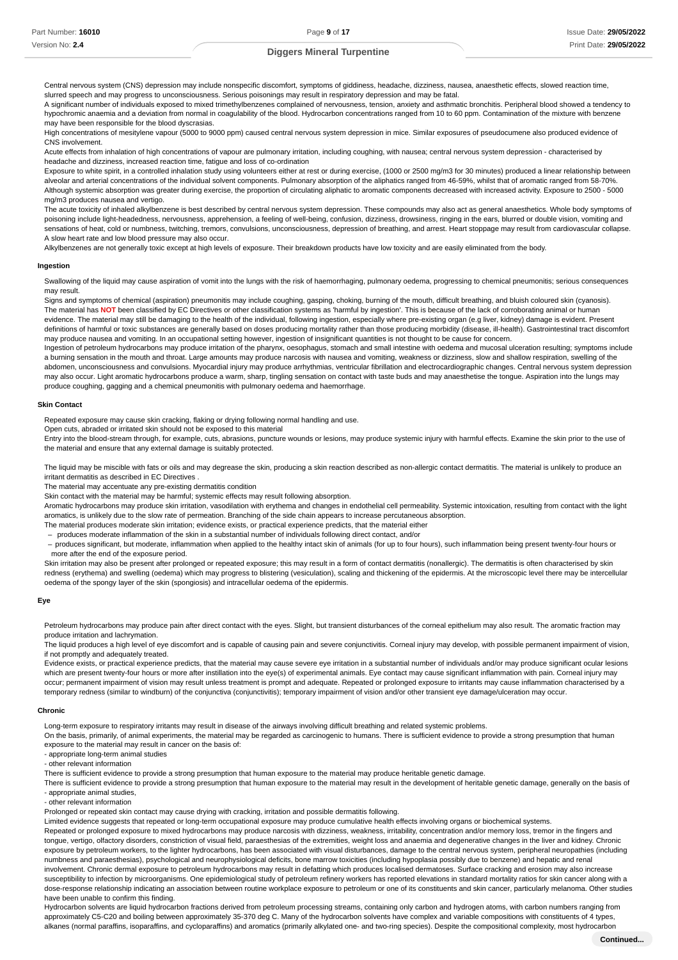Central nervous system (CNS) depression may include nonspecific discomfort, symptoms of giddiness, headache, dizziness, nausea, anaesthetic effects, slowed reaction time, slurred speech and may progress to unconsciousness. Serious poisonings may result in respiratory depression and may be fatal.

A significant number of individuals exposed to mixed trimethylbenzenes complained of nervousness, tension, anxiety and asthmatic bronchitis. Peripheral blood showed a tendency to hypochromic anaemia and a deviation from normal in coagulability of the blood. Hydrocarbon concentrations ranged from 10 to 60 ppm. Contamination of the mixture with benzene may have been responsible for the blood dyscrasias.

High concentrations of mesitylene vapour (5000 to 9000 ppm) caused central nervous system depression in mice. Similar exposures of pseudocumene also produced evidence of CNS involvement.

Acute effects from inhalation of high concentrations of vapour are pulmonary irritation, including coughing, with nausea; central nervous system depression - characterised by headache and dizziness, increased reaction time, fatigue and loss of co-ordination

Exposure to white spirit, in a controlled inhalation study using volunteers either at rest or during exercise, (1000 or 2500 mg/m3 for 30 minutes) produced a linear relationship between alveolar and arterial concentrations of the individual solvent components. Pulmonary absorption of the aliphatics ranged from 46-59%, whilst that of aromatic ranged from 58-70%. Although systemic absorption was greater during exercise, the proportion of circulating aliphatic to aromatic components decreased with increased activity. Exposure to 2500 - 5000 mg/m3 produces nausea and vertigo.

The acute toxicity of inhaled alkylbenzene is best described by central nervous system depression. These compounds may also act as general anaesthetics. Whole body symptoms of poisoning include light-headedness, nervousness, apprehension, a feeling of well-being, confusion, dizziness, drowsiness, ringing in the ears, blurred or double vision, vomiting and sensations of heat, cold or numbness, twitching, tremors, convulsions, unconsciousness, depression of breathing, and arrest. Heart stoppage may result from cardiovascular collapse. A slow heart rate and low blood pressure may also occur.

Alkylbenzenes are not generally toxic except at high levels of exposure. Their breakdown products have low toxicity and are easily eliminated from the body.

### **Ingestion**

Swallowing of the liquid may cause aspiration of vomit into the lungs with the risk of haemorrhaging, pulmonary oedema, progressing to chemical pneumonitis; serious consequences may result.

Signs and symptoms of chemical (aspiration) pneumonitis may include coughing, gasping, choking, burning of the mouth, difficult breathing, and bluish coloured skin (cyanosis). The material has NOT been classified by EC Directives or other classification systems as 'harmful by ingestion'. This is because of the lack of corroborating animal or human evidence. The material may still be damaging to the health of the individual, following ingestion, especially where pre-existing organ (e.g liver, kidney) damage is evident. Present definitions of harmful or toxic substances are generally based on doses producing mortality rather than those producing morbidity (disease, ill-health). Gastrointestinal tract discomfort may produce nausea and vomiting. In an occupational setting however, ingestion of insignificant quantities is not thought to be cause for concern.

Ingestion of petroleum hydrocarbons may produce irritation of the pharynx, oesophagus, stomach and small intestine with oedema and mucosal ulceration resulting; symptoms include a burning sensation in the mouth and throat. Large amounts may produce narcosis with nausea and vomiting, weakness or dizziness, slow and shallow respiration, swelling of the abdomen, unconsciousness and convulsions. Myocardial injury may produce arrhythmias, ventricular fibrillation and electrocardiographic changes. Central nervous system depression may also occur. Light aromatic hydrocarbons produce a warm, sharp, tingling sensation on contact with taste buds and may anaesthetise the tongue. Aspiration into the lungs may produce coughing, gagging and a chemical pneumonitis with pulmonary oedema and haemorrhage.

### **Skin Contact**

Repeated exposure may cause skin cracking, flaking or drying following normal handling and use.

Open cuts, abraded or irritated skin should not be exposed to this material

Entry into the blood-stream through, for example, cuts, abrasions, puncture wounds or lesions, may produce systemic injury with harmful effects. Examine the skin prior to the use of the material and ensure that any external damage is suitably protected.

The liquid may be miscible with fats or oils and may degrease the skin, producing a skin reaction described as non-allergic contact dermatitis. The material is unlikely to produce an irritant dermatitis as described in EC Directives .

The material may accentuate any pre-existing dermatitis condition

Skin contact with the material may be harmful; systemic effects may result following absorption.

Aromatic hydrocarbons may produce skin irritation, vasodilation with erythema and changes in endothelial cell permeability. Systemic intoxication, resulting from contact with the light aromatics, is unlikely due to the slow rate of permeation. Branching of the side chain appears to increase percutaneous absorption.

The material produces moderate skin irritation; evidence exists, or practical experience predicts, that the material either

- produces moderate inflammation of the skin in a substantial number of individuals following direct contact, and/or

- produces significant, but moderate, inflammation when applied to the healthy intact skin of animals (for up to four hours), such inflammation being present twenty-four hours or more after the end of the exposure period.

Skin irritation may also be present after prolonged or repeated exposure; this may result in a form of contact dermatitis (nonallergic). The dermatitis is often characterised by skin redness (erythema) and swelling (oedema) which may progress to blistering (vesiculation), scaling and thickening of the epidermis. At the microscopic level there may be intercellular oedema of the spongy layer of the skin (spongiosis) and intracellular oedema of the epidermis.

### **Eye**

Petroleum hydrocarbons may produce pain after direct contact with the eyes. Slight, but transient disturbances of the corneal epithelium may also result. The aromatic fraction may produce irritation and lachrymation.

The liquid produces a high level of eye discomfort and is capable of causing pain and severe conjunctivitis. Corneal injury may develop, with possible permanent impairment of vision, if not promptly and adequately treated.

Evidence exists, or practical experience predicts, that the material may cause severe eye irritation in a substantial number of individuals and/or may produce significant ocular lesions which are present twenty-four hours or more after instillation into the eye(s) of experimental animals. Eye contact may cause significant inflammation with pain. Corneal injury may occur; permanent impairment of vision may result unless treatment is prompt and adequate. Repeated or prolonged exposure to irritants may cause inflammation characterised by a temporary redness (similar to windburn) of the conjunctiva (conjunctivitis); temporary impairment of vision and/or other transient eye damage/ulceration may occur.

### **Chronic**

Long-term exposure to respiratory irritants may result in disease of the airways involving difficult breathing and related systemic problems.

On the basis, primarily, of animal experiments, the material may be regarded as carcinogenic to humans. There is sufficient evidence to provide a strong presumption that human exposure to the material may result in cancer on the basis of:

- appropriate long-term animal studies

- other relevant information

There is sufficient evidence to provide a strong presumption that human exposure to the material may produce heritable genetic damage.

There is sufficient evidence to provide a strong presumption that human exposure to the material may result in the development of heritable genetic damage, generally on the basis of - appropriate animal studies,

- other relevant information

Prolonged or repeated skin contact may cause drying with cracking, irritation and possible dermatitis following.

Limited evidence suggests that repeated or long-term occupational exposure may produce cumulative health effects involving organs or biochemical systems.

Repeated or prolonged exposure to mixed hydrocarbons may produce narcosis with dizziness, weakness, irritability, concentration and/or memory loss, tremor in the fingers and tongue, vertigo, olfactory disorders, constriction of visual field, paraesthesias of the extremities, weight loss and anaemia and degenerative changes in the liver and kidney. Chronic exposure by petroleum workers, to the lighter hydrocarbons, has been associated with visual disturbances, damage to the central nervous system, peripheral neuropathies (including numbness and paraesthesias), psychological and neurophysiological deficits, bone marrow toxicities (including hypoplasia possibly due to benzene) and hepatic and renal involvement. Chronic dermal exposure to petroleum hydrocarbons may result in defatting which produces localised dermatoses. Surface cracking and erosion may also increase susceptibility to infection by microorganisms. One epidemiological study of petroleum refinery workers has reported elevations in standard mortality ratios for skin cancer along with a dose-response relationship indicating an association between routine workplace exposure to petroleum or one of its constituents and skin cancer, particularly melanoma. Other studies have been unable to confirm this finding.

Hydrocarbon solvents are liquid hydrocarbon fractions derived from petroleum processing streams, containing only carbon and hydrogen atoms, with carbon numbers ranging from approximately C5-C20 and boiling between approximately 35-370 deg C. Many of the hydrocarbon solvents have complex and variable compositions with constituents of 4 types, alkanes (normal paraffins, isoparaffins, and cycloparaffins) and aromatics (primarily alkylated one- and two-ring species). Despite the compositional complexity, most hydrocarbon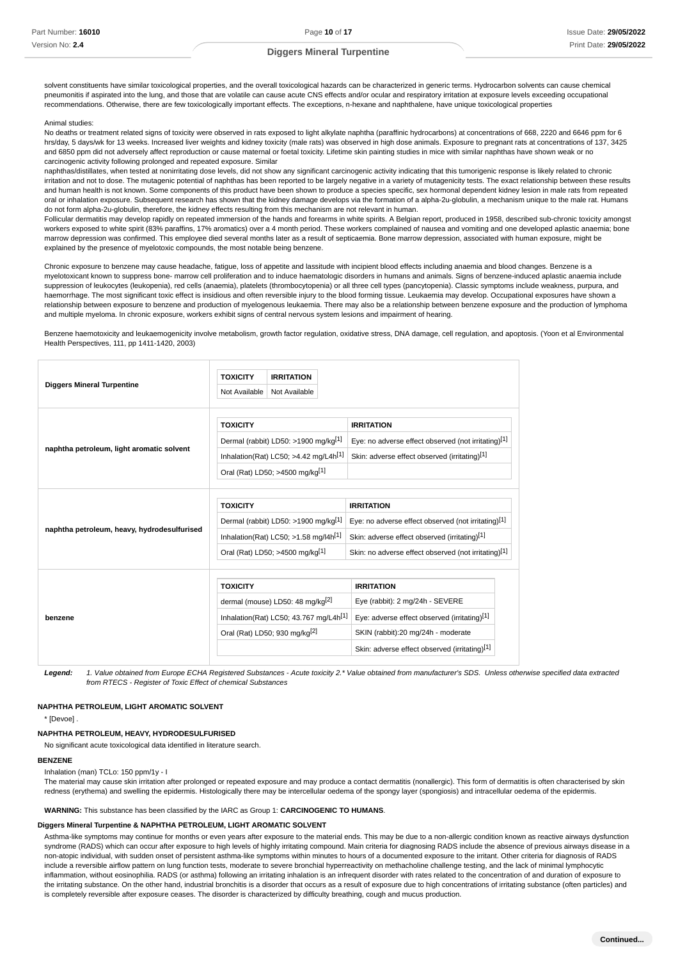solvent constituents have similar toxicological properties, and the overall toxicological hazards can be characterized in generic terms. Hydrocarbon solvents can cause chemical pneumonitis if aspirated into the lung, and those that are volatile can cause acute CNS effects and/or ocular and respiratory irritation at exposure levels exceeding occupational recommendations. Otherwise, there are few toxicologically important effects. The exceptions, n-hexane and naphthalene, have unique toxicological properties

### Animal studies:

No deaths or treatment related signs of toxicity were observed in rats exposed to light alkylate naphtha (paraffinic hydrocarbons) at concentrations of 668, 2220 and 6646 ppm for 6 hrs/day, 5 days/wk for 13 weeks. Increased liver weights and kidney toxicity (male rats) was observed in high dose animals. Exposure to pregnant rats at concentrations of 137, 3425 and 6850 ppm did not adversely affect reproduction or cause maternal or foetal toxicity. Lifetime skin painting studies in mice with similar naphthas have shown weak or no carcinogenic activity following prolonged and repeated exposure. Similar

naphthas/distillates, when tested at nonirritating dose levels, did not show any significant carcinogenic activity indicating that this tumorigenic response is likely related to chronic irritation and not to dose. The mutagenic potential of naphthas has been reported to be largely negative in a variety of mutagenicity tests. The exact relationship between these results and human health is not known. Some components of this product have been shown to produce a species specific, sex hormonal dependent kidney lesion in male rats from repeated oral or inhalation exposure. Subsequent research has shown that the kidney damage develops via the formation of a alpha-2u-globulin, a mechanism unique to the male rat. Humans do not form alpha-2u-globulin, therefore, the kidney effects resulting from this mechanism are not relevant in human.

Follicular dermatitis may develop rapidly on repeated immersion of the hands and forearms in white spirits. A Belgian report, produced in 1958, described sub-chronic toxicity amongst workers exposed to white spirit (83% paraffins, 17% aromatics) over a 4 month period. These workers complained of nausea and vomiting and one developed aplastic anaemia; bone marrow depression was confirmed. This employee died several months later as a result of septicaemia. Bone marrow depression, associated with human exposure, might be explained by the presence of myelotoxic compounds, the most notable being benzene.

Chronic exposure to benzene may cause headache, fatigue, loss of appetite and lassitude with incipient blood effects including anaemia and blood changes. Benzene is a myelotoxicant known to suppress bone- marrow cell proliferation and to induce haematologic disorders in humans and animals. Signs of benzene-induced aplastic anaemia include suppression of leukocytes (leukopenia), red cells (anaemia), platelets (thrombocytopenia) or all three cell types (pancytopenia). Classic symptoms include weakness, purpura, and haemorrhage. The most significant toxic effect is insidious and often reversible injury to the blood forming tissue. Leukaemia may develop. Occupational exposures have shown a relationship between exposure to benzene and production of myelogenous leukaemia. There may also be a relationship between benzene exposure and the production of lymphoma and multiple myeloma. In chronic exposure, workers exhibit signs of central nervous system lesions and impairment of hearing.

Benzene haemotoxicity and leukaemogenicity involve metabolism, growth factor regulation, oxidative stress, DNA damage, cell regulation, and apoptosis. (Yoon et al Environmental Health Perspectives, 111, pp 1411-1420, 2003)

| <b>Diggers Mineral Turpentine</b>           | <b>TOXICITY</b> | <b>IRRITATION</b>                                   |                                                      |  |
|---------------------------------------------|-----------------|-----------------------------------------------------|------------------------------------------------------|--|
|                                             | Not Available   | Not Available                                       |                                                      |  |
|                                             |                 |                                                     |                                                      |  |
|                                             | <b>TOXICITY</b> |                                                     | <b>IRRITATION</b>                                    |  |
| naphtha petroleum, light aromatic solvent   |                 | Dermal (rabbit) LD50: >1900 mg/kg <sup>[1]</sup>    | Eye: no adverse effect observed (not irritating)[1]  |  |
|                                             |                 | Inhalation(Rat) LC50; $>4.42$ mg/L4h <sup>[1]</sup> | Skin: adverse effect observed (irritating)[1]        |  |
|                                             |                 | Oral (Rat) LD50; >4500 mg/kg[1]                     |                                                      |  |
|                                             |                 |                                                     |                                                      |  |
|                                             | <b>TOXICITY</b> |                                                     | <b>IRRITATION</b>                                    |  |
|                                             |                 | Dermal (rabbit) LD50: >1900 mg/kg <sup>[1]</sup>    | Eye: no adverse effect observed (not irritating)[1]  |  |
| naphtha petroleum, heavy, hydrodesulfurised |                 | Inhalation(Rat) LC50; $>1.58$ mg/l4h <sup>[1]</sup> | Skin: adverse effect observed (irritating)[1]        |  |
|                                             |                 | Oral (Rat) LD50; >4500 mg/kg[1]                     | Skin: no adverse effect observed (not irritating)[1] |  |
|                                             |                 |                                                     |                                                      |  |
|                                             | <b>TOXICITY</b> |                                                     | <b>IRRITATION</b>                                    |  |
|                                             |                 | dermal (mouse) LD50: 48 mg/kg <sup>[2]</sup>        | Eye (rabbit): 2 mg/24h - SEVERE                      |  |
| benzene                                     |                 | Inhalation(Rat) LC50; 43.767 mg/L4h <sup>[1]</sup>  | Eye: adverse effect observed (irritating)[1]         |  |
|                                             |                 | Oral (Rat) LD50; 930 mg/kg <sup>[2]</sup>           | SKIN (rabbit):20 mg/24h - moderate                   |  |
|                                             |                 |                                                     | Skin: adverse effect observed (irritating)[1]        |  |

Legend: 1. Value obtained from Europe ECHA Registered Substances - Acute toxicity 2.\* Value obtained from manufacturer's SDS. Unless otherwise specified data extracted from RTECS - Register of Toxic Effect of chemical Substances

### **NAPHTHA PETROLEUM, LIGHT AROMATIC SOLVENT**

\* [Devoe] .

# **NAPHTHA PETROLEUM, HEAVY, HYDRODESULFURISED**

No significant acute toxicological data identified in literature search.

# **BENZENE**

Inhalation (man) TCLo: 150 ppm/1y - I

The material may cause skin irritation after prolonged or repeated exposure and may produce a contact dermatitis (nonallergic). This form of dermatitis is often characterised by skin redness (erythema) and swelling the epidermis. Histologically there may be intercellular oedema of the spongy layer (spongiosis) and intracellular oedema of the epidermis.

**WARNING:** This substance has been classified by the IARC as Group 1: **CARCINOGENIC TO HUMANS**.

### **Diggers Mineral Turpentine & NAPHTHA PETROLEUM, LIGHT AROMATIC SOLVENT**

Asthma-like symptoms may continue for months or even years after exposure to the material ends. This may be due to a non-allergic condition known as reactive airways dysfunction syndrome (RADS) which can occur after exposure to high levels of highly irritating compound. Main criteria for diagnosing RADS include the absence of previous airways disease in a non-atopic individual, with sudden onset of persistent asthma-like symptoms within minutes to hours of a documented exposure to the irritant. Other criteria for diagnosis of RADS include a reversible airflow pattern on lung function tests, moderate to severe bronchial hyperreactivity on methacholine challenge testing, and the lack of minimal lymphocytic inflammation, without eosinophilia. RADS (or asthma) following an irritating inhalation is an infrequent disorder with rates related to the concentration of and duration of exposure to the irritating substance. On the other hand, industrial bronchitis is a disorder that occurs as a result of exposure due to high concentrations of irritating substance (often particles) and is completely reversible after exposure ceases. The disorder is characterized by difficulty breathing, cough and mucus production.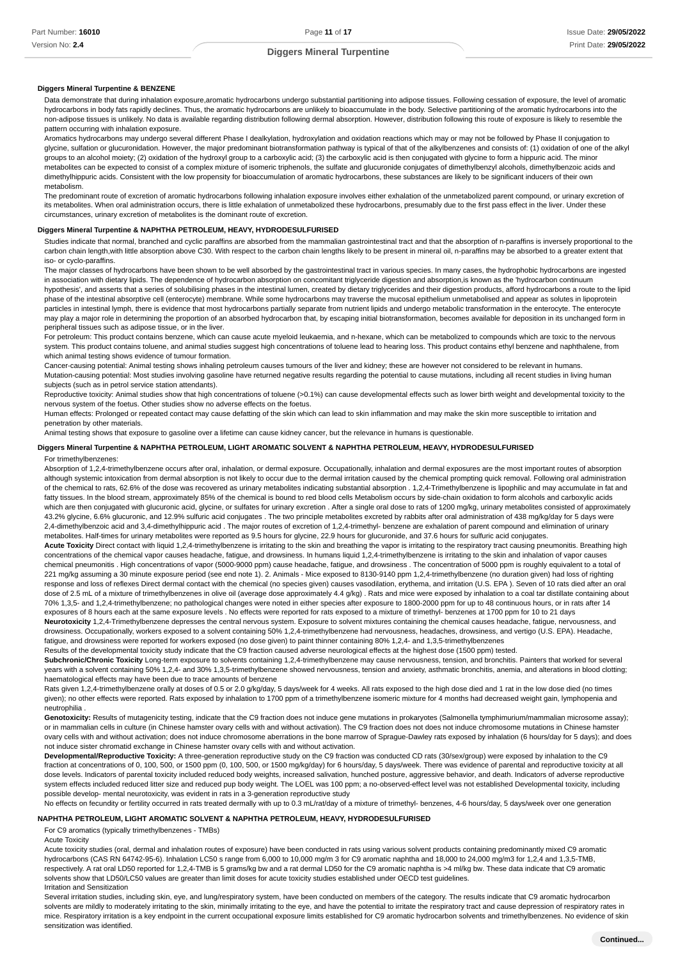### **Diggers Mineral Turpentine & BENZENE**

Data demonstrate that during inhalation exposure aromatic hydrocarbons undergo substantial partitioning into adipose tissues. Following cessation of exposure, the level of aromatic hydrocarbons in body fats rapidly declines. Thus, the aromatic hydrocarbons are unlikely to bioaccumulate in the body. Selective partitioning of the aromatic hydrocarbons into the non-adipose tissues is unlikely. No data is available regarding distribution following dermal absorption. However, distribution following this route of exposure is likely to resemble the pattern occurring with inhalation exposure.

Aromatics hydrocarbons may undergo several different Phase I dealkylation, hydroxylation and oxidation reactions which may or may not be followed by Phase II conjugation to glycine, sulfation or glucuronidation. However, the major predominant biotransformation pathway is typical of that of the alkylbenzenes and consists of: (1) oxidation of one of the alkyl groups to an alcohol moiety; (2) oxidation of the hydroxyl group to a carboxylic acid; (3) the carboxylic acid is then conjugated with glycine to form a hippuric acid. The minor metabolites can be expected to consist of a complex mixture of isomeric triphenols, the sulfate and glucuronide conjugates of dimethylbenzyl alcohols, dimethylbenzoic acids and dimethylhippuric acids. Consistent with the low propensity for bioaccumulation of aromatic hydrocarbons, these substances are likely to be significant inducers of their own metabolism.

The predominant route of excretion of aromatic hydrocarbons following inhalation exposure involves either exhalation of the unmetabolized parent compound, or urinary excretion of its metabolites. When oral administration occurs, there is little exhalation of unmetabolized these hydrocarbons, presumably due to the first pass effect in the liver. Under these circumstances, urinary excretion of metabolites is the dominant route of excretion.

# **Diggers Mineral Turpentine & NAPHTHA PETROLEUM, HEAVY, HYDRODESULFURISED**

Studies indicate that normal, branched and cyclic paraffins are absorbed from the mammalian gastrointestinal tract and that the absorption of n-paraffins is inversely proportional to the carbon chain length,with little absorption above C30. With respect to the carbon chain lengths likely to be present in mineral oil, n-paraffins may be absorbed to a greater extent that iso- or cyclo-paraffins.

The major classes of hydrocarbons have been shown to be well absorbed by the gastrointestinal tract in various species. In many cases, the hydrophobic hydrocarbons are ingested in association with dietary lipids. The dependence of hydrocarbon absorption on concomitant triglyceride digestion and absorption,is known as the 'hydrocarbon continuum hypothesis', and asserts that a series of solubilising phases in the intestinal lumen, created by dietary triglycerides and their digestion products, afford hydrocarbons a route to the lipid phase of the intestinal absorptive cell (enterocyte) membrane. While some hydrocarbons may traverse the mucosal epithelium unmetabolised and appear as solutes in lipoprotein particles in intestinal lymph, there is evidence that most hydrocarbons partially separate from nutrient lipids and undergo metabolic transformation in the enterocyte. The enterocyte may play a major role in determining the proportion of an absorbed hydrocarbon that, by escaping initial biotransformation, becomes available for deposition in its unchanged form in peripheral tissues such as adipose tissue, or in the liver.

For petroleum: This product contains benzene, which can cause acute myeloid leukaemia, and n-hexane, which can be metabolized to compounds which are toxic to the nervous system. This product contains toluene, and animal studies suggest high concentrations of toluene lead to hearing loss. This product contains ethyl benzene and naphthalene, from which animal testing shows evidence of tumour formation.

Cancer-causing potential: Animal testing shows inhaling petroleum causes tumours of the liver and kidney; these are however not considered to be relevant in humans. Mutation-causing potential: Most studies involving gasoline have returned negative results regarding the potential to cause mutations, including all recent studies in living human subjects (such as in petrol service station attendants).

Reproductive toxicity: Animal studies show that high concentrations of toluene (>0.1%) can cause developmental effects such as lower birth weight and developmental toxicity to the nervous system of the foetus. Other studies show no adverse effects on the foetus.

Human effects: Prolonged or repeated contact may cause defatting of the skin which can lead to skin inflammation and may make the skin more susceptible to irritation and penetration by other materials.

Animal testing shows that exposure to gasoline over a lifetime can cause kidney cancer, but the relevance in humans is questionable.

### **Diggers Mineral Turpentine & NAPHTHA PETROLEUM, LIGHT AROMATIC SOLVENT & NAPHTHA PETROLEUM, HEAVY, HYDRODESULFURISED**

#### For trimethylbenzenes:

Absorption of 1,2,4-trimethylbenzene occurs after oral, inhalation, or dermal exposure. Occupationally, inhalation and dermal exposures are the most important routes of absorption although systemic intoxication from dermal absorption is not likely to occur due to the dermal irritation caused by the chemical prompting quick removal. Following oral administration of the chemical to rats, 62.6% of the dose was recovered as urinary metabolites indicating substantial absorption . 1,2,4-Trimethylbenzene is lipophilic and may accumulate in fat and fatty tissues. In the blood stream, approximately 85% of the chemical is bound to red blood cells Metabolism occurs by side-chain oxidation to form alcohols and carboxylic acids which are then conjugated with glucuronic acid, glycine, or sulfates for urinary excretion. After a single oral dose to rats of 1200 mg/kg, urinary metabolites consisted of approximately 43.2% glycine, 6.6% glucuronic, and 12.9% sulfuric acid conjugates . The two principle metabolites excreted by rabbits after oral administration of 438 mg/kg/day for 5 days were 2,4-dimethylbenzoic acid and 3,4-dimethylhippuric acid . The major routes of excretion of 1,2,4-trimethyl- benzene are exhalation of parent compound and elimination of urinary metabolites. Half-times for urinary metabolites were reported as 9.5 hours for glycine, 22.9 hours for glucuronide, and 37.6 hours for sulfuric acid conjugates.

Acute Toxicity Direct contact with liquid 1,2,4-trimethylbenzene is irritating to the skin and breathing the vapor is irritating to the respiratory tract causing pneumonitis. Breathing high concentrations of the chemical vapor causes headache, fatigue, and drowsiness. In humans liquid 1,2,4-trimethylbenzene is irritating to the skin and inhalation of vapor causes chemical pneumonitis . High concentrations of vapor (5000-9000 ppm) cause headache, fatigue, and drowsiness . The concentration of 5000 ppm is roughly equivalent to a total of 221 mg/kg assuming a 30 minute exposure period (see end note 1). 2. Animals - Mice exposed to 8130-9140 ppm 1,2,4-trimethylbenzene (no duration given) had loss of righting response and loss of reflexes Direct dermal contact with the chemical (no species given) causes vasodilation, erythema, and irritation (U.S. EPA). Seven of 10 rats died after an oral dose of 2.5 mL of a mixture of trimethylbenzenes in olive oil (average dose approximately 4.4 g/kg). Rats and mice were exposed by inhalation to a coal tar distillate containing about 70% 1,3,5- and 1,2,4-trimethylbenzene; no pathological changes were noted in either species after exposure to 1800-2000 ppm for up to 48 continuous hours, or in rats after 14 exposures of 8 hours each at the same exposure levels . No effects were reported for rats exposed to a mixture of trimethyl- benzenes at 1700 ppm for 10 to 21 days

**Neurotoxicity** 1,2,4-Trimethylbenzene depresses the central nervous system. Exposure to solvent mixtures containing the chemical causes headache, fatigue, nervousness, and drowsiness. Occupationally, workers exposed to a solvent containing 50% 1,2,4-trimethylbenzene had nervousness, headaches, drowsiness, and vertigo (U.S. EPA). Headache, fatigue, and drowsiness were reported for workers exposed (no dose given) to paint thinner containing 80% 1,2,4- and 1,3,5-trimethylbenzenes

Results of the developmental toxicity study indicate that the C9 fraction caused adverse neurological effects at the highest dose (1500 ppm) tested.

**Subchronic/Chronic Toxicity** Long-term exposure to solvents containing 1,2,4-trimethylbenzene may cause nervousness, tension, and bronchitis. Painters that worked for several years with a solvent containing 50% 1,2,4- and 30% 1,3,5-trimethylbenzene showed nervousness, tension and anxiety, asthmatic bronchitis, anemia, and alterations in blood clotting; haematological effects may have been due to trace amounts of benzene

Rats given 1,2,4-trimethylbenzene orally at doses of 0.5 or 2.0 g/kg/day, 5 days/week for 4 weeks. All rats exposed to the high dose died and 1 rat in the low dose died (no times given); no other effects were reported. Rats exposed by inhalation to 1700 ppm of a trimethylbenzene isomeric mixture for 4 months had decreased weight gain, lymphopenia and neutrophilia .

Genotoxicity: Results of mutagenicity testing, indicate that the C9 fraction does not induce gene mutations in prokaryotes (Salmonella tymphimurium/mammalian microsome assay); or in mammalian cells in culture (in Chinese hamster ovary cells with and without activation). The C9 fraction does not does not induce chromosome mutations in Chinese hamster ovary cells with and without activation; does not induce chromosome aberrations in the bone marrow of Sprague-Dawley rats exposed by inhalation (6 hours/day for 5 days); and does not induce sister chromatid exchange in Chinese hamster ovary cells with and without activation.

Developmental/Reproductive Toxicity: A three-generation reproductive study on the C9 fraction was conducted CD rats (30/sex/group) were exposed by inhalation to the C9 fraction at concentrations of 0, 100, 500, or 1500 ppm (0, 100, 500, or 1500 mg/kg/day) for 6 hours/day, 5 days/week. There was evidence of parental and reproductive toxicity at all dose levels. Indicators of parental toxicity included reduced body weights, increased salivation, hunched posture, aggressive behavior, and death, Indicators of adverse reproductive system effects included reduced litter size and reduced pup body weight. The LOEL was 100 ppm; a no-observed-effect level was not established Developmental toxicity, including possible develop- mental neurotoxicity, was evident in rats in a 3-generation reproductive study

No effects on fecundity or fertility occurred in rats treated dermally with up to 0.3 mL/rat/day of a mixture of trimethyl- benzenes, 4-6 hours/day, 5 days/week over one generation

# **NAPHTHA PETROLEUM, LIGHT AROMATIC SOLVENT & NAPHTHA PETROLEUM, HEAVY, HYDRODESULFURISED**

For C9 aromatics (typically trimethylbenzenes - TMBs)

#### Acute Toxicity

Acute toxicity studies (oral, dermal and inhalation routes of exposure) have been conducted in rats using various solvent products containing predominantly mixed C9 aromatic hydrocarbons (CAS RN 64742-95-6). Inhalation LC50 s range from 6,000 to 10,000 mg/m 3 for C9 aromatic naphtha and 18,000 to 24,000 mg/m3 for 1,2,4 and 1,3,5-TMB, respectively. A rat oral LD50 reported for 1,2,4-TMB is 5 grams/kg bw and a rat dermal LD50 for the C9 aromatic naphtha is >4 ml/kg bw. These data indicate that C9 aromatic solvents show that LD50/LC50 values are greater than limit doses for acute toxicity studies established under OECD test guidelines. Irritation and Sensitization

Several irritation studies, including skin, eye, and lung/respiratory system, have been conducted on members of the category. The results indicate that C9 aromatic hydrocarbon solvents are mildly to moderately irritating to the skin, minimally irritating to the eye, and have the potential to irritate the respiratory tract and cause depression of respiratory rates in mice. Respiratory irritation is a key endpoint in the current occupational exposure limits established for C9 aromatic hydrocarbon solvents and trimethylbenzenes. No evidence of skin sensitization was identified.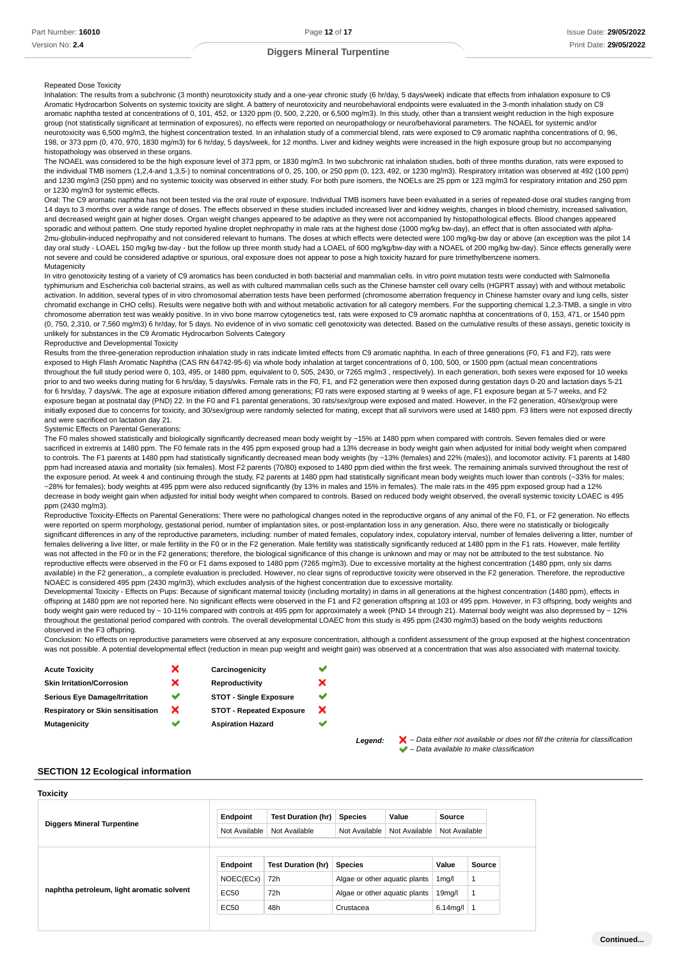# Repeated Dose Toxicity

Inhalation: The results from a subchronic (3 month) neurotoxicity study and a one-year chronic study (6 hr/day, 5 days/week) indicate that effects from inhalation exposure to C9 Aromatic Hydrocarbon Solvents on systemic toxicity are slight. A battery of neurotoxicity and neurobehavioral endpoints were evaluated in the 3-month inhalation study on C9 aromatic naphtha tested at concentrations of 0, 101, 452, or 1320 ppm (0, 500, 2,220, or 6,500 mg/m3). In this study, other than a transient weight reduction in the high exposure group (not statistically significant at termination of exposures), no effects were reported on neuropathology or neuro/behavioral parameters. The NOAEL for systemic and/or neurotoxicity was 6,500 mg/m3, the highest concentration tested. In an inhalation study of a commercial blend, rats were exposed to C9 aromatic naphtha concentrations of 0, 96, 198, or 373 ppm (0, 470, 970, 1830 mg/m3) for 6 hr/day, 5 days/week, for 12 months. Liver and kidney weights were increased in the high exposure group but no accompanying histopathology was observed in these organs.

The NOAEL was considered to be the high exposure level of 373 ppm, or 1830 mg/m3. In two subchronic rat inhalation studies, both of three months duration, rats were exposed to the individual TMB isomers (1,2,4-and 1,3,5-) to nominal concentrations of 0, 25, 100, or 250 ppm (0, 123, 492, or 1230 mg/m3). Respiratory irritation was observed at 492 (100 ppm) and 1230 mg/m3 (250 ppm) and no systemic toxicity was observed in either study. For both pure isomers, the NOELs are 25 ppm or 123 mg/m3 for respiratory irritation and 250 ppm or 1230 mg/m3 for systemic effects.

Oral: The C9 aromatic naphtha has not been tested via the oral route of exposure. Individual TMB isomers have been evaluated in a series of repeated-dose oral studies ranging from 14 days to 3 months over a wide range of doses. The effects observed in these studies included increased liver and kidney weights, changes in blood chemistry, increased salivation, and decreased weight gain at higher doses. Organ weight changes appeared to be adaptive as they were not accompanied by histopathological effects. Blood changes appeared sporadic and without pattern. One study reported hyaline droplet nephropathy in male rats at the highest dose (1000 mg/kg bw-day), an effect that is often associated with alpha-2mu-globulin-induced nephropathy and not considered relevant to humans. The doses at which effects were detected were 100 mg/kg-bw day or above (an exception was the pilot 14 day oral study - LOAEL 150 mg/kg bw-day - but the follow up three month study had a LOAEL of 600 mg/kg/bw-day with a NOAEL of 200 mg/kg bw-day). Since effects generally were not severe and could be considered adaptive or spurious, oral exposure does not appear to pose a high toxicity hazard for pure trimethylbenzene isomers. Mutagenicity

In vitro genotoxicity testing of a variety of C9 aromatics has been conducted in both bacterial and mammalian cells. In vitro point mutation tests were conducted with Salmonella typhimurium and Escherichia coli bacterial strains, as well as with cultured mammalian cells such as the Chinese hamster cell ovary cells (HGPRT assay) with and without metabolic activation. In addition, several types of in vitro chromosomal aberration tests have been performed (chromosome aberration frequency in Chinese hamster ovary and lung cells, sister chromatid exchange in CHO cells). Results were negative both with and without metabolic activation for all category members. For the supporting chemical 1,2,3-TMB, a single in vitro chromosome aberration test was weakly positive. In in vivo bone marrow cytogenetics test, rats were exposed to C9 aromatic naphtha at concentrations of 0, 153, 471, or 1540 ppm (0, 750, 2,310, or 7,560 mg/m3) 6 hr/day, for 5 days. No evidence of in vivo somatic cell genotoxicity was detected. Based on the cumulative results of these assays, genetic toxicity is unlikely for substances in the C9 Aromatic Hydrocarbon Solvents Category

### Reproductive and Developmental Toxicity

Results from the three-generation reproduction inhalation study in rats indicate limited effects from C9 aromatic naphtha. In each of three generations (F0, F1 and F2), rats were exposed to High Flash Aromatic Naphtha (CAS RN 64742-95-6) via whole body inhalation at target concentrations of 0, 100, 500, or 1500 ppm (actual mean concentrations throughout the full study period were 0, 103, 495, or 1480 ppm, equivalent to 0, 505, 2430, or 7265 mg/m3 , respectively). In each generation, both sexes were exposed for 10 weeks prior to and two weeks during mating for 6 hrs/day, 5 days/wks. Female rats in the F0, F1, and F2 generation were then exposed during gestation days 0-20 and lactation days 5-21 for 6 hrs/day, 7 days/wk. The age at exposure initiation differed among generations; F0 rats were exposed starting at 9 weeks of age, F1 exposure began at 5-7 weeks, and F2 exposure began at postnatal day (PND) 22. In the F0 and F1 parental generations, 30 rats/sex/group were exposed and mated. However, in the F2 generation, 40/sex/group were initially exposed due to concerns for toxicity, and 30/sex/group were randomly selected for mating, except that all survivors were used at 1480 ppm. F3 litters were not exposed directly and were sacrificed on lactation day 21.

#### Systemic Effects on Parental Generations:

The F0 males showed statistically and biologically significantly decreased mean body weight by ~15% at 1480 ppm when compared with controls. Seven females died or were sacrificed in extremis at 1480 ppm. The F0 female rats in the 495 ppm exposed group had a 13% decrease in body weight gain when adjusted for initial body weight when compared to controls. The F1 parents at 1480 ppm had statistically significantly decreased mean body weights (by ~13% (females) and 22% (males)), and locomotor activity. F1 parents at 1480 ppm had increased ataxia and mortality (six females). Most F2 parents (70/80) exposed to 1480 ppm died within the first week. The remaining animals survived throughout the rest of the exposure period. At week 4 and continuing through the study, F2 parents at 1480 ppm had statistically significant mean body weights much lower than controls (~33% for males; ~28% for females); body weights at 495 ppm were also reduced significantly (by 13% in males and 15% in females). The male rats in the 495 ppm exposed group had a 12% decrease in body weight gain when adjusted for initial body weight when compared to controls. Based on reduced body weight observed, the overall systemic toxicity LOAEC is 495 ppm (2430 mg/m3).

Reproductive Toxicity-Effects on Parental Generations: There were no pathological changes noted in the reproductive organs of any animal of the F0, F1, or F2 generation. No effects were reported on sperm morphology, gestational period, number of implantation sites, or post-implantation loss in any generation. Also, there were no statistically or biologically significant differences in any of the reproductive parameters, including: number of mated females, copulatory index, copulatory interval, number of females delivering a litter, number of females delivering a live litter, or male fertility in the F0 or in the F2 generation. Male fertility was statistically significantly reduced at 1480 ppm in the F1 rats. However, male fertility was not affected in the F0 or in the F2 generations; therefore, the biological significance of this change is unknown and may or may not be attributed to the test substance. No reproductive effects were observed in the F0 or F1 dams exposed to 1480 ppm (7265 mg/m3). Due to excessive mortality at the highest concentration (1480 ppm, only six dams available) in the F2 generation,, a complete evaluation is precluded. However, no clear signs of reproductive toxicity were observed in the F2 generation. Therefore, the reproductive NOAEC is considered 495 ppm (2430 mg/m3), which excludes analysis of the highest concentration due to excessive mortality.

Developmental Toxicity - Effects on Pups: Because of significant maternal toxicity (including mortality) in dams in all generations at the highest concentration (1480 ppm), effects in offspring at 1480 ppm are not reported here. No significant effects were observed in the F1 and F2 generation offspring at 103 or 495 ppm. However, in F3 offspring, body weights and body weight gain were reduced by ~ 10-11% compared with controls at 495 ppm for approximately a week (PND 14 through 21). Maternal body weight was also depressed by ~ 12% throughout the gestational period compared with controls. The overall developmental LOAEC from this study is 495 ppm (2430 mg/m3) based on the body weights reductions observed in the F3 offspring.

Conclusion: No effects on reproductive parameters were observed at any exposure concentration, although a confident assessment of the group exposed at the highest concentration was not possible. A potential developmental effect (reduction in mean pup weight and weight gain) was observed at a concentration that was also associated with maternal toxicity.

> × ✓ ×

| <b>Acute Toxicity</b>             | × | Carcinogenicity                 |
|-----------------------------------|---|---------------------------------|
| <b>Skin Irritation/Corrosion</b>  | × | Reproductivity                  |
| Serious Eye Damage/Irritation     |   | <b>STOT - Single Exposure</b>   |
| Respiratory or Skin sensitisation | × | <b>STOT - Repeated Exposure</b> |
| Mutagenicity                      |   | <b>Aspiration Hazard</b>        |
|                                   |   |                                 |

Legend:  $\blacktriangleright$  - Data either not available or does not fill the criteria for classification – Data available to make classification

### **SECTION 12 Ecological information**

**Toxicity**

| <b>Diggers Mineral Turpentine</b>         | Endpoint      | <b>Test Duration (hr)</b> | <b>Species</b>                | Value         | Source              |        |
|-------------------------------------------|---------------|---------------------------|-------------------------------|---------------|---------------------|--------|
|                                           | Not Available | Not Available             | Not Available                 | Not Available | Not Available       |        |
|                                           |               |                           |                               |               |                     |        |
|                                           |               |                           |                               |               |                     |        |
|                                           | Endpoint      | <b>Test Duration (hr)</b> | <b>Species</b>                |               | Value               |        |
|                                           | NOEC(ECx)     | 72h                       | Algae or other aquatic plants |               | 1 <sub>mq</sub> /I  | Source |
| naphtha petroleum, light aromatic solvent | EC50          | 72h                       | Algae or other aquatic plants |               | 19 <sub>mq</sub> /I |        |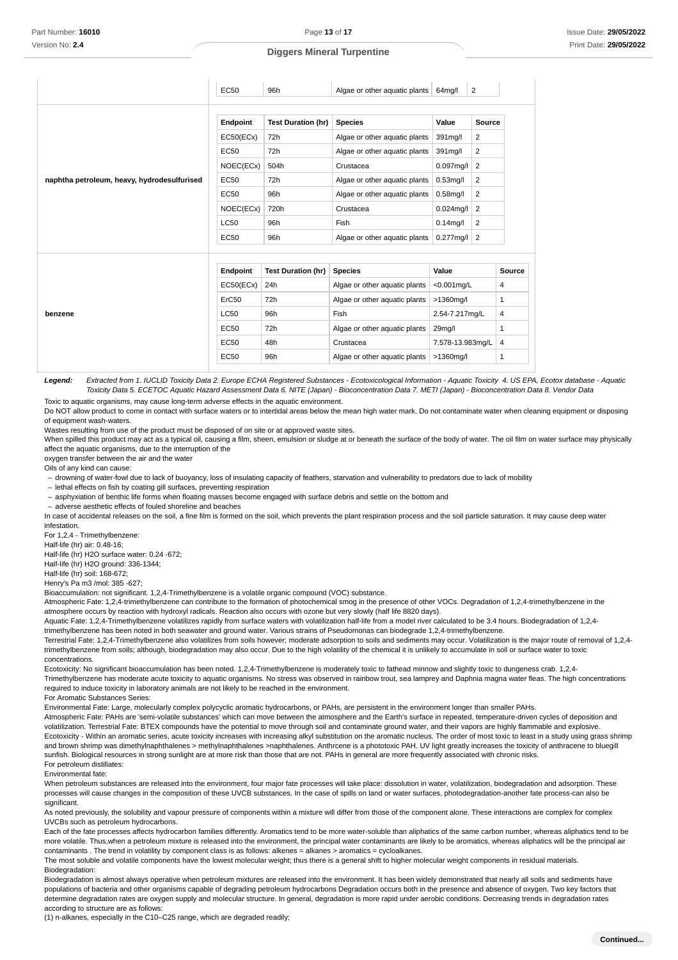|                                             | EC50              | 96h                       | Algae or other aquatic plants | $64$ mg/l           | $\overline{2}$ |        |
|---------------------------------------------|-------------------|---------------------------|-------------------------------|---------------------|----------------|--------|
|                                             | Endpoint          | <b>Test Duration (hr)</b> | <b>Species</b>                | Value               | <b>Source</b>  |        |
|                                             | EC50(ECx)         | 72h                       | Algae or other aquatic plants | 391mg/l             | 2              |        |
|                                             | EC50              | 72h                       | Algae or other aquatic plants | 391mg/l             | 2              |        |
|                                             | NOEC(ECx)         | 504h                      | Crustacea                     | $0.097$ mg/l        | $\overline{2}$ |        |
| naphtha petroleum, heavy, hydrodesulfurised | EC50              | 72h                       | Algae or other aquatic plants | $0.53$ mg/l         | 2              |        |
|                                             | EC50              | 96h                       | Algae or other aquatic plants | $0.58$ mg/l         | 2              |        |
|                                             | NOEC(ECx)         | 720h                      | Crustacea                     | $0.024$ mg/l        | $\overline{2}$ |        |
|                                             | <b>LC50</b>       | 96h                       | Fish                          | $0.14$ mg/l         | $\overline{2}$ |        |
|                                             | EC50              | 96h                       | Algae or other aquatic plants | $0.277$ mg/l        | 2              |        |
|                                             |                   |                           |                               |                     |                |        |
|                                             | Endpoint          | <b>Test Duration (hr)</b> | <b>Species</b>                | Value               |                | Source |
| benzene                                     | EC50(ECx)         | 24h                       | Algae or other aquatic plants | $< 0.001$ mg/L      |                | 4      |
|                                             | ErC <sub>50</sub> | 72h                       | Algae or other aquatic plants | $>1360$ mg/l        |                | 1      |
|                                             | LC50              | 96h                       | Fish                          | 2.54-7.217mg/L      |                | 4      |
|                                             | EC <sub>50</sub>  | 72h                       | Algae or other aquatic plants | 29 <sub>mg</sub> /l |                | 1      |
|                                             | EC50              | 48h                       | Crustacea                     | 7.578-13.983mg/L    |                | 4      |
|                                             | <b>EC50</b>       | 96h                       | Algae or other aquatic plants | >1360mg/l           |                | 1      |

Legend: Extracted from 1. IUCLID Toxicity Data 2. Europe ECHA Registered Substances - Ecotoxicological Information - Aquatic Toxicity 4. US EPA, Ecotox database - Aquatic Toxicity Data 5. ECETOC Aquatic Hazard Assessment Data 6. NITE (Japan) - Bioconcentration Data 7. METI (Japan) - Bioconcentration Data 8. Vendor Data

Toxic to aquatic organisms, may cause long-term adverse effects in the aquatic environment. Do NOT allow product to come in contact with surface waters or to intertidal areas below the mean high water mark. Do not contaminate water when cleaning equipment or disposing of equipment wash-waters.

Wastes resulting from use of the product must be disposed of on site or at approved waste sites.

When spilled this product may act as a typical oil, causing a film, sheen, emulsion or sludge at or beneath the surface of the body of water. The oil film on water surface may physically affect the aquatic organisms, due to the interruption of the

oxygen transfer between the air and the water

Oils of any kind can cause:

- drowning of water-fowl due to lack of buoyancy, loss of insulating capacity of feathers, starvation and vulnerability to predators due to lack of mobility

- lethal effects on fish by coating gill surfaces, preventing respiration

- asphyxiation of benthic life forms when floating masses become engaged with surface debris and settle on the bottom and

adverse aesthetic effects of fouled shoreline and beaches –

In case of accidental releases on the soil, a fine film is formed on the soil, which prevents the plant respiration process and the soil particle saturation. It may cause deep water infestation.

For 1,2,4 - Trimethylbenzene:

Half-life (hr) air: 0.48-16;

Half-life (hr) H2O surface water: 0.24 -672; Half-life (hr) H2O ground: 336-1344;

Half-life (hr) soil: 168-672;

Henry's Pa m3 /mol: 385 -627;

Bioaccumulation: not significant. 1,2,4-Trimethylbenzene is a volatile organic compound (VOC) substance.

Atmospheric Fate: 1,2,4-trimethylbenzene can contribute to the formation of photochemical smog in the presence of other VOCs. Degradation of 1,2,4-trimethylbenzene in the atmosphere occurs by reaction with hydroxyl radicals. Reaction also occurs with ozone but very slowly (half life 8820 days).

Aquatic Fate: 1,2,4-Trimethylbenzene volatilizes rapidly from surface waters with volatilization half-life from a model river calculated to be 3.4 hours. Biodegradation of 1,2,4 trimethylbenzene has been noted in both seawater and ground water. Various strains of Pseudomonas can biodegrade 1,2,4-trimethylbenzene.

Terrestrial Fate: 1,2,4-Trimethylbenzene also volatilizes from soils however; moderate adsorption to soils and sediments may occur. Volatilization is the major route of removal of 1,2,4 trimethylbenzene from soils; although, biodegradation may also occur. Due to the high volatility of the chemical it is unlikely to accumulate in soil or surface water to toxic concentrations.

Ecotoxicity: No significant bioaccumulation has been noted. 1,2,4-Trimethylbenzene is moderately toxic to fathead minnow and slightly toxic to dungeness crab. 1,2,4- Trimethylbenzene has moderate acute toxicity to aquatic organisms. No stress was observed in rainbow trout, sea lamprey and Daphnia magna water fleas. The high concentrations required to induce toxicity in laboratory animals are not likely to be reached in the environment.

For Aromatic Substances Series:

Environmental Fate: Large, molecularly complex polycyclic aromatic hydrocarbons, or PAHs, are persistent in the environment longer than smaller PAHs.

Atmospheric Fate: PAHs are 'semi-volatile substances' which can move between the atmosphere and the Earth's surface in repeated, temperature-driven cycles of deposition and volatilization. Terrestrial Fate: BTEX compounds have the potential to move through soil and contaminate ground water, and their vapors are highly flammable and explosive. Ecotoxicity - Within an aromatic series, acute toxicity increases with increasing alkyl substitution on the aromatic nucleus. The order of most toxic to least in a study using grass shrimp and brown shrimp was dimethylnaphthalenes > methylnaphthalenes >naphthalenes. Anthrcene is a phototoxic PAH. UV light greatly increases the toxicity of anthracene to bluegill sunfish. Biological resources in strong sunlight are at more risk than those that are not. PAHs in general are more frequently associated with chronic risks. For petroleum distillates:

Environmental fate:

When petroleum substances are released into the environment, four major fate processes will take place: dissolution in water, volatilization, biodegradation and adsorption. These processes will cause changes in the composition of these UVCB substances. In the case of spills on land or water surfaces, photodegradation-another fate process-can also be significant.

As noted previously, the solubility and vapour pressure of components within a mixture will differ from those of the component alone. These interactions are complex for complex UVCBs such as petroleum hydrocarbons.

Each of the fate processes affects hydrocarbon families differently. Aromatics tend to be more water-soluble than aliphatics of the same carbon number, whereas aliphatics tend to be more volatile. Thus,when a petroleum mixture is released into the environment, the principal water contaminants are likely to be aromatics, whereas aliphatics will be the principal air contaminants . The trend in volatility by component class is as follows: alkenes = alkanes > aromatics = cycloalkanes.

The most soluble and volatile components have the lowest molecular weight; thus there is a general shift to higher molecular weight components in residual materials. Biodegradation:

Biodegradation is almost always operative when petroleum mixtures are released into the environment. It has been widely demonstrated that nearly all soils and sediments have populations of bacteria and other organisms capable of degrading petroleum hydrocarbons Degradation occurs both in the presence and absence of oxygen. Two key factors that determine degradation rates are oxygen supply and molecular structure. In general, degradation is more rapid under aerobic conditions. Decreasing trends in degradation rates according to structure are as follows:

(1) n-alkanes, especially in the C10–C25 range, which are degraded readily;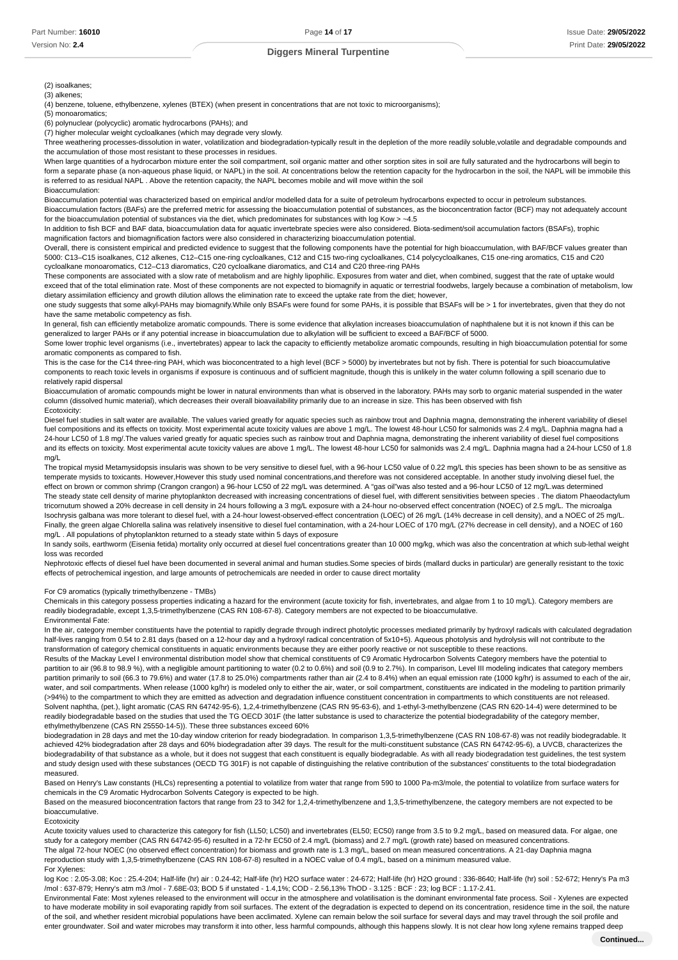(2) isoalkanes;

(3) alkenes;

(4) benzene, toluene, ethylbenzene, xylenes (BTEX) (when present in concentrations that are not toxic to microorganisms);

(5) monoaromatics;

(6) polynuclear (polycyclic) aromatic hydrocarbons (PAHs); and

(7) higher molecular weight cycloalkanes (which may degrade very slowly.

Three weathering processes-dissolution in water, volatilization and biodegradation-typically result in the depletion of the more readily soluble,volatile and degradable compounds and the accumulation of those most resistant to these processes in residues.

When large quantities of a hydrocarbon mixture enter the soil compartment, soil organic matter and other sorption sites in soil are fully saturated and the hydrocarbons will begin to form a separate phase (a non-aqueous phase liquid, or NAPL) in the soil. At concentrations below the retention capacity for the hydrocarbon in the soil, the NAPL will be immobile this is referred to as residual NAPL . Above the retention capacity, the NAPL becomes mobile and will move within the soil Bioaccumulation:

Bioaccumulation potential was characterized based on empirical and/or modelled data for a suite of petroleum hydrocarbons expected to occur in petroleum substances. Bioaccumulation factors (BAFs) are the preferred metric for assessing the bioaccumulation potential of substances, as the bioconcentration factor (BCF) may not adequately account for the bioaccumulation potential of substances via the diet, which predominates for substances with log Kow > -4.5

In addition to fish BCF and BAF data, bioaccumulation data for aquatic invertebrate species were also considered. Biota-sediment/soil accumulation factors (BSAFs), trophic magnification factors and biomagnification factors were also considered in characterizing bioaccumulation potential.

Overall, there is consistent empirical and predicted evidence to suggest that the following components have the potential for high bioaccumulation, with BAF/BCF values greater than 5000: C13–C15 isoalkanes, C12 alkenes, C12–C15 one-ring cycloalkanes, C12 and C15 two-ring cycloalkanes, C14 polycycloalkanes, C15 one-ring aromatics, C15 and C20 cycloalkane monoaromatics, C12–C13 diaromatics, C20 cycloalkane diaromatics, and C14 and C20 three-ring PAHs

These components are associated with a slow rate of metabolism and are highly lipophilic. Exposures from water and diet, when combined, suggest that the rate of uptake would exceed that of the total elimination rate. Most of these components are not expected to biomagnify in aquatic or terrestrial foodwebs, largely because a combination of metabolism, low dietary assimilation efficiency and growth dilution allows the elimination rate to exceed the uptake rate from the diet; however,

one study suggests that some alkyl-PAHs may biomagnify.While only BSAFs were found for some PAHs, it is possible that BSAFs will be > 1 for invertebrates, given that they do not have the same metabolic competency as fish.

In general, fish can efficiently metabolize aromatic compounds. There is some evidence that alkylation increases bioaccumulation of naphthalene but it is not known if this can be generalized to larger PAHs or if any potential increase in bioaccumulation due to alkylation will be sufficient to exceed a BAF/BCF of 5000.

Some lower trophic level organisms (i.e., invertebrates) appear to lack the capacity to efficiently metabolize aromatic compounds, resulting in high bioaccumulation potential for some aromatic components as compared to fish.

This is the case for the C14 three-ring PAH, which was bioconcentrated to a high level (BCF > 5000) by invertebrates but not by fish. There is potential for such bioaccumulative components to reach toxic levels in organisms if exposure is continuous and of sufficient magnitude, though this is unlikely in the water column following a spill scenario due to relatively rapid dispersal

Bioaccumulation of aromatic compounds might be lower in natural environments than what is observed in the laboratory. PAHs may sorb to organic material suspended in the water column (dissolved humic material), which decreases their overall bioavailability primarily due to an increase in size. This has been observed with fish Ecotoxicity:

Diesel fuel studies in salt water are available. The values varied greatly for aquatic species such as rainbow trout and Daphnia magna, demonstrating the inherent variability of diesel fuel compositions and its effects on toxicity. Most experimental acute toxicity values are above 1 mg/L. The lowest 48-hour LC50 for salmonids was 2.4 mg/L. Daphnia magna had a 24-hour LC50 of 1.8 mg/. The values varied greatly for aquatic species such as rainbow trout and Daphnia magna, demonstrating the inherent variability of diesel fuel compositions and its effects on toxicity. Most experimental acute toxicity values are above 1 mg/L. The lowest 48-hour LC50 for salmonids was 2.4 mg/L. Daphnia magna had a 24-hour LC50 of 1.8 mg/L

The tropical mysid Metamysidopsis insularis was shown to be very sensitive to diesel fuel, with a 96-hour LC50 value of 0.22 mg/L this species has been shown to be as sensitive as temperate mysids to toxicants. However,However this study used nominal concentrations,and therefore was not considered acceptable. In another study involving diesel fuel, the effect on brown or common shrimp (Crangon crangon) a 96-hour LC50 of 22 mg/L was determined. A "gas oil"was also tested and a 96-hour LC50 of 12 mg/L.was determined The steady state cell density of marine phytoplankton decreased with increasing concentrations of diesel fuel, with different sensitivities between species . The diatom Phaeodactylum tricornutum showed a 20% decrease in cell density in 24 hours following a 3 mg/L exposure with a 24-hour no-observed effect concentration (NOEC) of 2.5 mg/L. The microalga Isochrysis galbana was more tolerant to diesel fuel, with a 24-hour lowest-observed-effect concentration (LOEC) of 26 mg/L (14% decrease in cell density), and a NOEC of 25 mg/L. Finally, the green algae Chlorella salina was relatively insensitive to diesel fuel contamination, with a 24-hour LOEC of 170 mg/L (27% decrease in cell density), and a NOEC of 160 mg/L . All populations of phytoplankton returned to a steady state within 5 days of exposure

In sandy soils, earthworm (Eisenia fetida) mortality only occurred at diesel fuel concentrations greater than 10 000 mg/kg, which was also the concentration at which sub-lethal weight loss was recorded

Nephrotoxic effects of diesel fuel have been documented in several animal and human studies.Some species of birds (mallard ducks in particular) are generally resistant to the toxic effects of petrochemical ingestion, and large amounts of petrochemicals are needed in order to cause direct mortality

For C9 aromatics (typically trimethylbenzene - TMBs)

Chemicals in this category possess properties indicating a hazard for the environment (acute toxicity for fish, invertebrates, and algae from 1 to 10 mg/L). Category members are readily biodegradable, except 1,3,5-trimethylbenzene (CAS RN 108-67-8). Category members are not expected to be bioaccumulative. Environmental Fate:

In the air, category member constituents have the potential to rapidly degrade through indirect photolytic processes mediated primarily by hydroxyl radicals with calculated degradation half-lives ranging from 0.54 to 2.81 days (based on a 12-hour day and a hydroxyl radical concentration of 5x10+5). Aqueous photolysis and hydrolysis will not contribute to the transformation of category chemical constituents in aquatic environments because they are either poorly reactive or not susceptible to these reactions.

Results of the Mackay Level I environmental distribution model show that chemical constituents of C9 Aromatic Hydrocarbon Solvents Category members have the potential to partition to air (96.8 to 98.9 %), with a negligible amount partitioning to water (0.2 to 0.6%) and soil (0.9 to 2.7%). In comparison, Level III modeling indicates that category members partition primarily to soil (66.3 to 79.6%) and water (17.8 to 25.0%) compartments rather than air (2.4 to 8.4%) when an equal emission rate (1000 kg/hr) is assumed to each of the air, water, and soil compartments. When release (1000 kg/hr) is modeled only to either the air, water, or soil compartment, constituents are indicated in the modeling to partition primarily (>94%) to the compartment to which they are emitted as advection and degradation influence constituent concentration in compartments to which constituents are not released. Solvent naphtha, (pet.), light aromatic (CAS RN 64742-95-6), 1,2,4-trimethylbenzene (CAS RN 95-63-6), and 1-ethyl-3-methylbenzene (CAS RN 620-14-4) were determined to be readily biodegradable based on the studies that used the TG OECD 301F (the latter substance is used to characterize the potential biodegradability of the category member, ethylmethylbenzene (CAS RN 25550-14-5)). These three substances exceed 60%

biodegradation in 28 days and met the 10-day window criterion for ready biodegradation. In comparison 1,3,5-trimethylbenzene (CAS RN 108-67-8) was not readily biodegradable. It achieved 42% biodegradation after 28 days and 60% biodegradation after 39 days. The result for the multi-constituent substance (CAS RN 64742-95-6), a UVCB, characterizes the biodegradability of that substance as a whole, but it does not suggest that each constituent is equally biodegradable. As with all ready biodegradation test guidelines, the test system and study design used with these substances (OECD TG 301F) is not capable of distinguishing the relative contribution of the substances' constituents to the total biodegradation measured.

Based on Henry's Law constants (HLCs) representing a potential to volatilize from water that range from 590 to 1000 Pa-m3/mole, the potential to volatilize from surface waters for chemicals in the C9 Aromatic Hydrocarbon Solvents Category is expected to be high.

Based on the measured bioconcentration factors that range from 23 to 342 for 1,2,4-trimethylbenzene and 1,3,5-trimethylbenzene, the category members are not expected to be bioaccumulative.

Ecotoxicity

Acute toxicity values used to characterize this category for fish (LL50; LC50) and invertebrates (EL50; EC50) range from 3.5 to 9.2 mg/L, based on measured data. For algae, one study for a category member (CAS RN 64742-95-6) resulted in a 72-hr EC50 of 2.4 mg/L (biomass) and 2.7 mg/L (growth rate) based on measured concentrations. The algal 72-hour NOEC (no observed effect concentration) for biomass and growth rate is 1.3 mg/L, based on mean measured concentrations. A 21-day Daphnia magna reproduction study with 1,3,5-trimethylbenzene (CAS RN 108-67-8) resulted in a NOEC value of 0.4 mg/L, based on a minimum measured value. For Xylenes:

log Koc : 2.05-3.08; Koc : 25.4-204; Half-life (hr) air : 0.24-42; Half-life (hr) H2O surface water : 24-672; Half-life (hr) H2O ground : 336-8640; Half-life (hr) soil : 52-672; Henry's Pa m3 /mol : 637-879; Henry's atm m3 /mol - 7.68E-03; BOD 5 if unstated - 1.4,1%; COD - 2.56,13% ThOD - 3.125 : BCF : 23; log BCF : 1.17-2.41.

Environmental Fate: Most xylenes released to the environment will occur in the atmosphere and volatilisation is the dominant environmental fate process. Soil - Xylenes are expected to have moderate mobility in soil evaporating rapidly from soil surfaces. The extent of the degradation is expected to depend on its concentration, residence time in the soil, the nature of the soil, and whether resident microbial populations have been acclimated. Xylene can remain below the soil surface for several days and may travel through the soil profile and enter groundwater. Soil and water microbes may transform it into other, less harmful compounds, although this happens slowly. It is not clear how long xylene remains trapped deep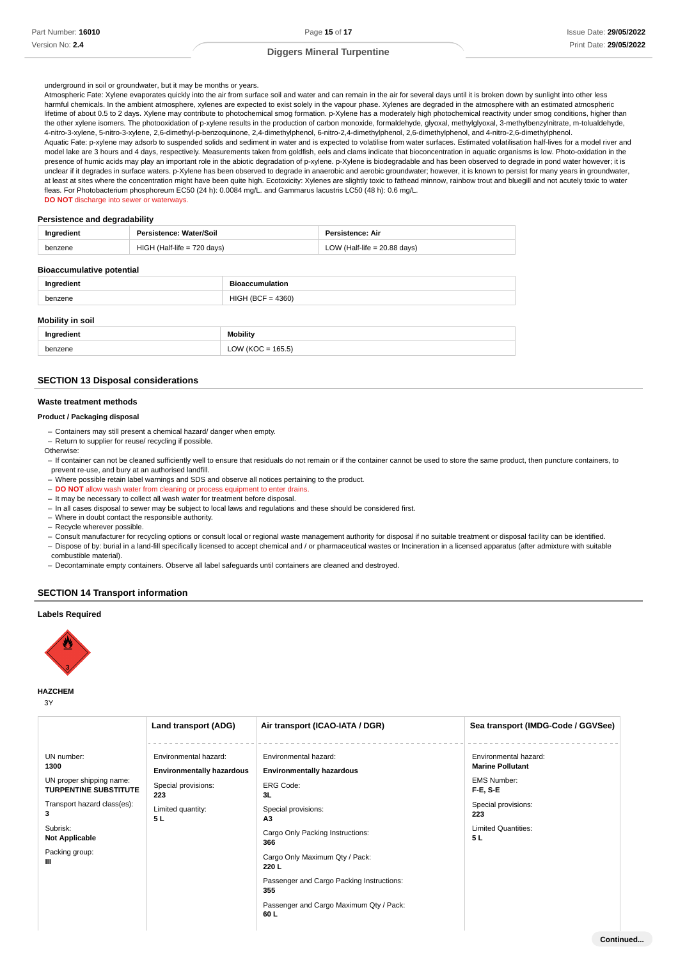### underground in soil or groundwater, but it may be months or years.

Atmospheric Fate: Xylene evaporates quickly into the air from surface soil and water and can remain in the air for several days until it is broken down by sunlight into other less harmful chemicals. In the ambient atmosphere, xylenes are expected to exist solely in the vapour phase. Xylenes are degraded in the atmosphere with an estimated atmospheric lifetime of about 0.5 to 2 days. Xylene may contribute to photochemical smog formation. p-Xylene has a moderately high photochemical reactivity under smog conditions, higher than the other xylene isomers. The photooxidation of p-xylene results in the production of carbon monoxide, formaldehyde, glyoxal, methylglyoxal, 3-methylbenzylnitrate, m-tolualdehyde, 4-nitro-3-xylene, 5-nitro-3-xylene, 2,6-dimethyl-p-benzoquinone, 2,4-dimethylphenol, 6-nitro-2,4-dimethylphenol, 2,6-dimethylphenol, and 4-nitro-2,6-dimethylphenol. Aquatic Fate: p-xylene may adsorb to suspended solids and sediment in water and is expected to volatilise from water surfaces. Estimated volatilisation half-lives for a model river and model lake are 3 hours and 4 days, respectively. Measurements taken from goldfish, eels and clams indicate that bioconcentration in aquatic organisms is low. Photo-oxidation in the presence of humic acids may play an important role in the abiotic degradation of p-xylene. p-Xylene is biodegradable and has been observed to degrade in pond water however; it is unclear if it degrades in surface waters, p-Xylene has been observed to degrade in anaerobic and aerobic groundwater; however, it is known to persist for many years in groundwater. at least at sites where the concentration might have been quite high. Ecotoxicity: Xylenes are slightly toxic to fathead minnow, rainbow trout and bluegill and not acutely toxic to water fleas. For Photobacterium phosphoreum EC50 (24 h): 0.0084 mg/L. and Gammarus lacustris LC50 (48 h): 0.6 mg/L. **DO NOT** discharge into sewer or waterways.

#### **Persistence and degradability**

| Ingredient | Persistence: Water/Soil       | <b>Persistence: Air</b>        |
|------------|-------------------------------|--------------------------------|
| benzene    | $HIGH$ (Half-life = 720 days) | LOW (Half-life = $20.88$ days) |
|            |                               |                                |

### **Bioaccumulative potential**

| Ingredient | <b>Bioaccumulation</b> |
|------------|------------------------|
| benzene    | $HIGH (BCF = 4360)$    |
|            |                        |

# **Mobility in soil**

| Inaredient | Mobility                |
|------------|-------------------------|
| benzene    | $(KOC = 165.5)$<br>' אר |

# **SECTION 13 Disposal considerations**

# **Waste treatment methods**

#### **Product / Packaging disposal**

- Containers may still present a chemical hazard/ danger when empty. –
- Return to supplier for reuse/ recycling if possible.
- Otherwise:
- If container can not be cleaned sufficiently well to ensure that residuals do not remain or if the container cannot be used to store the same product, then puncture containers, to prevent re-use, and bury at an authorised landfill.
- Where possible retain label warnings and SDS and observe all notices pertaining to the product.
- **DO NOT** allow wash water from cleaning or process equipment to enter drains.
- It may be necessary to collect all wash water for treatment before disposal.
- In all cases disposal to sewer may be subject to local laws and regulations and these should be considered first.
- Where in doubt contact the responsible authority. –
- Recycle wherever possible.
- Consult manufacturer for recycling options or consult local or regional waste management authority for disposal if no suitable treatment or disposal facility can be identified.
- Dispose of by: burial in a land-fill specifically licensed to accept chemical and / or pharmaceutical wastes or Incineration in a licensed apparatus (after admixture with suitable combustible material).
- Decontaminate empty containers. Observe all label safeguards until containers are cleaned and destroyed.

# **SECTION 14 Transport information**

# **Labels Required**



### **HAZCHEM**

3Y

|                                                                                                                                                                                | Land transport (ADG)                                                                                               | Air transport (ICAO-IATA / DGR)                                                                                                                                                                                                                                                                               | Sea transport (IMDG-Code / GGVSee)                                                                                                                           |
|--------------------------------------------------------------------------------------------------------------------------------------------------------------------------------|--------------------------------------------------------------------------------------------------------------------|---------------------------------------------------------------------------------------------------------------------------------------------------------------------------------------------------------------------------------------------------------------------------------------------------------------|--------------------------------------------------------------------------------------------------------------------------------------------------------------|
| UN number:<br>1300<br>UN proper shipping name:<br><b>TURPENTINE SUBSTITUTE</b><br>Transport hazard class(es):<br>3<br>Subrisk:<br><b>Not Applicable</b><br>Packing group:<br>Ш | Environmental hazard:<br><b>Environmentally hazardous</b><br>Special provisions:<br>223<br>Limited quantity:<br>5L | Environmental hazard:<br><b>Environmentally hazardous</b><br><b>ERG Code:</b><br>3L<br>Special provisions:<br>А3<br>Cargo Only Packing Instructions:<br>366<br>Cargo Only Maximum Qty / Pack:<br>220 L<br>Passenger and Cargo Packing Instructions:<br>355<br>Passenger and Cargo Maximum Qty / Pack:<br>60 L | Environmental hazard:<br><b>Marine Pollutant</b><br><b>EMS Number:</b><br><b>F-E, S-E</b><br>Special provisions:<br>223<br><b>Limited Quantities:</b><br>5 L |
|                                                                                                                                                                                |                                                                                                                    |                                                                                                                                                                                                                                                                                                               |                                                                                                                                                              |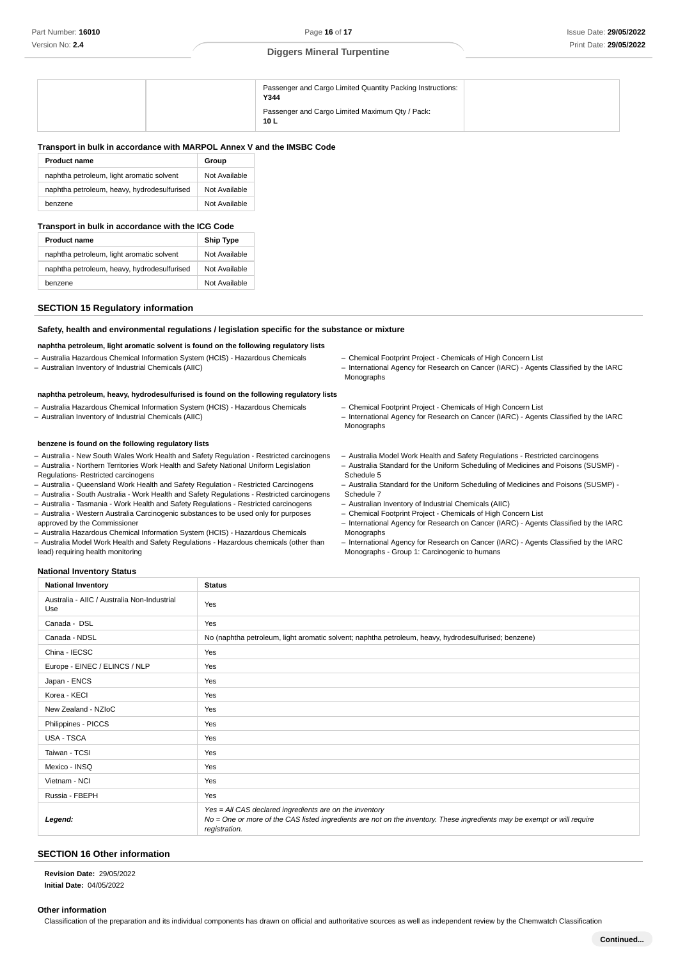| Passenger and Cargo Limited Quantity Packing Instructions:<br>Y344 |
|--------------------------------------------------------------------|
| Passenger and Cargo Limited Maximum Qty / Pack:<br>10 L            |

# **Transport in bulk in accordance with MARPOL Annex V and the IMSBC Code**

| <b>Product name</b>                         | Group         |
|---------------------------------------------|---------------|
| naphtha petroleum, light aromatic solvent   | Not Available |
| naphtha petroleum, heavy, hydrodesulfurised | Not Available |
| benzene                                     | Not Available |

### **Transport in bulk in accordance with the ICG Code**

| <b>Product name</b>                         | <b>Ship Type</b> |  |  |
|---------------------------------------------|------------------|--|--|
| naphtha petroleum, light aromatic solvent   | Not Available    |  |  |
| naphtha petroleum, heavy, hydrodesulfurised | Not Available    |  |  |
| benzene                                     | Not Available    |  |  |

# **SECTION 15 Regulatory information**

# **Safety, health and environmental regulations / legislation specific for the substance or mixture**

# **naphtha petroleum, light aromatic solvent is found on the following regulatory lists**

- Australia Hazardous Chemical Information System (HCIS) Hazardous Chemicals
- Australian Inventory of Industrial Chemicals (AIIC)

# **naphtha petroleum, heavy, hydrodesulfurised is found on the following regulatory lists**

- Australia Hazardous Chemical Information System (HCIS) Hazardous Chemicals
- Australian Inventory of Industrial Chemicals (AIIC)

# **benzene is found on the following regulatory lists**

- Australia - New South Wales Work Health and Safety Regulation - Restricted carcinogens - Australia - Northern Territories Work Health and Safety National Uniform Legislation

- Regulations- Restricted carcinogens
- Australia Queensland Work Health and Safety Regulation Restricted Carcinogens
- Australia South Australia Work Health and Safety Regulations Restricted carcinogens
- Australia Tasmania Work Health and Safety Regulations Restricted carcinogens - Australia - Western Australia Carcinogenic substances to be used only for purposes
- approved by the Commissioner - Australia Hazardous Chemical Information System (HCIS) - Hazardous Chemicals
- Australia Model Work Health and Safety Regulations Hazardous chemicals (other than lead) requiring health monitoring
- Chemical Footprint Project Chemicals of High Concern List
- International Agency for Research on Cancer (IARC) Agents Classified by the IARC Monographs
- Chemical Footprint Project Chemicals of High Concern List
- International Agency for Research on Cancer (IARC) Agents Classified by the IARC Monographs
- Australia Model Work Health and Safety Regulations Restricted carcinogens
- Australia Standard for the Uniform Scheduling of Medicines and Poisons (SUSMP) -Schedule 5
- Australia Standard for the Uniform Scheduling of Medicines and Poisons (SUSMP) -Schedule 7
- Australian Inventory of Industrial Chemicals (AIIC)
- Chemical Footprint Project Chemicals of High Concern List
- International Agency for Research on Cancer (IARC) Agents Classified by the IARC Monographs
- International Agency for Research on Cancer (IARC) Agents Classified by the IARC Monographs - Group 1: Carcinogenic to humans

# **National Inventory Status**

| <b>National Inventory</b>                          | <b>Status</b>                                                                                                                                                                                        |
|----------------------------------------------------|------------------------------------------------------------------------------------------------------------------------------------------------------------------------------------------------------|
| Australia - AIIC / Australia Non-Industrial<br>Use | Yes                                                                                                                                                                                                  |
| Canada - DSL                                       | Yes                                                                                                                                                                                                  |
| Canada - NDSL                                      | No (naphtha petroleum, light aromatic solvent; naphtha petroleum, heavy, hydrodesulfurised; benzene)                                                                                                 |
| China - IECSC                                      | Yes                                                                                                                                                                                                  |
| Europe - EINEC / ELINCS / NLP                      | Yes                                                                                                                                                                                                  |
| Japan - ENCS                                       | Yes                                                                                                                                                                                                  |
| Korea - KECI                                       | Yes                                                                                                                                                                                                  |
| New Zealand - NZIoC                                | Yes                                                                                                                                                                                                  |
| Philippines - PICCS                                | Yes                                                                                                                                                                                                  |
| USA - TSCA                                         | Yes                                                                                                                                                                                                  |
| Taiwan - TCSI                                      | Yes                                                                                                                                                                                                  |
| Mexico - INSQ                                      | Yes                                                                                                                                                                                                  |
| Vietnam - NCI                                      | Yes                                                                                                                                                                                                  |
| Russia - FBEPH                                     | Yes                                                                                                                                                                                                  |
| Legend:                                            | Yes = All CAS declared ingredients are on the inventory<br>No = One or more of the CAS listed ingredients are not on the inventory. These ingredients may be exempt or will require<br>registration. |

# **SECTION 16 Other information**

**: Revision Date** 29/05/2022 **: Initial Date** 04/05/2022

### **Other information**

Classification of the preparation and its individual components has drawn on official and authoritative sources as well as independent review by the Chemwatch Classification